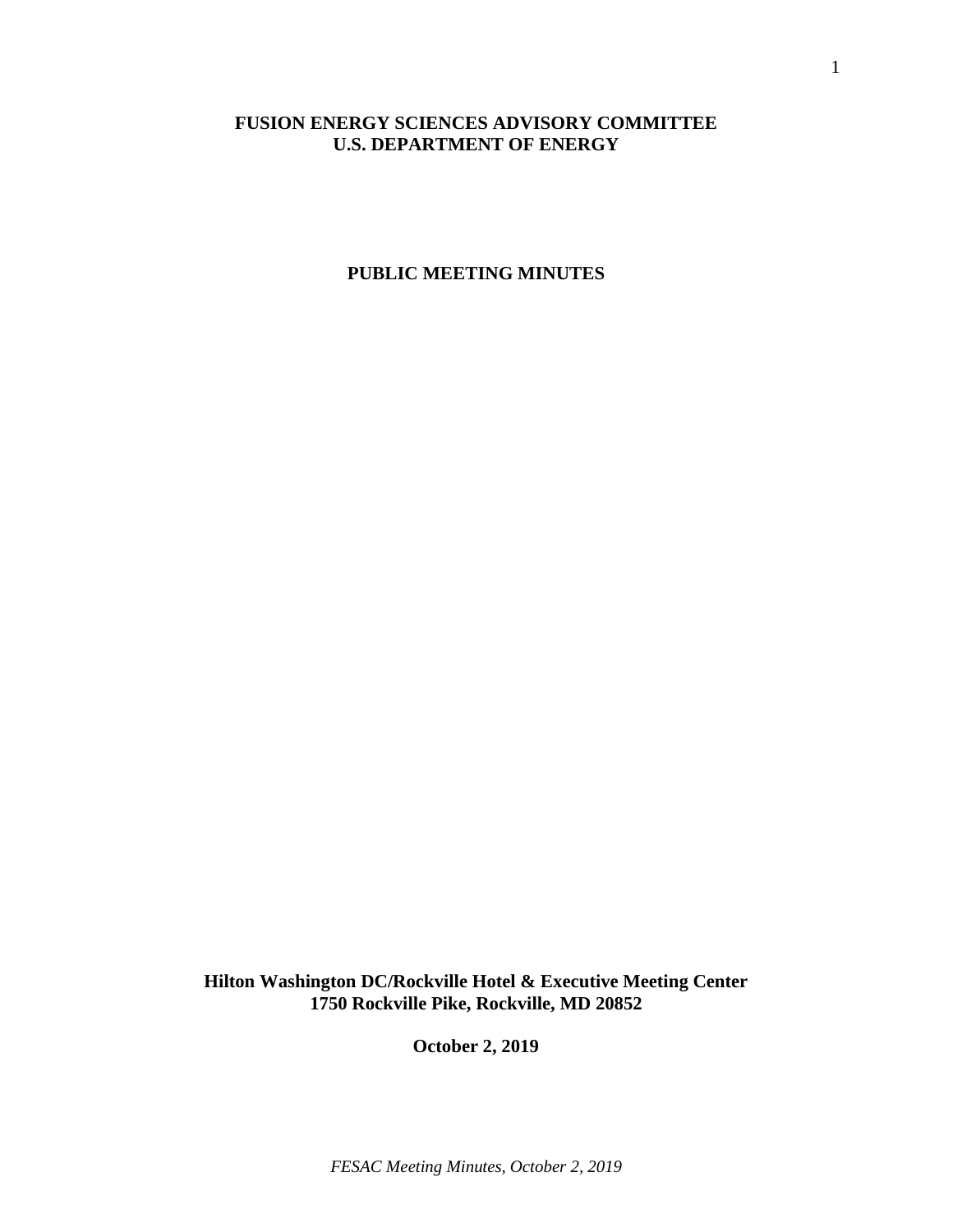# **FUSION ENERGY SCIENCES ADVISORY COMMITTEE U.S. DEPARTMENT OF ENERGY**

## **PUBLIC MEETING MINUTES**

**Hilton Washington DC/Rockville Hotel & Executive Meeting Center 1750 Rockville Pike, Rockville, MD 20852**

**October 2, 2019**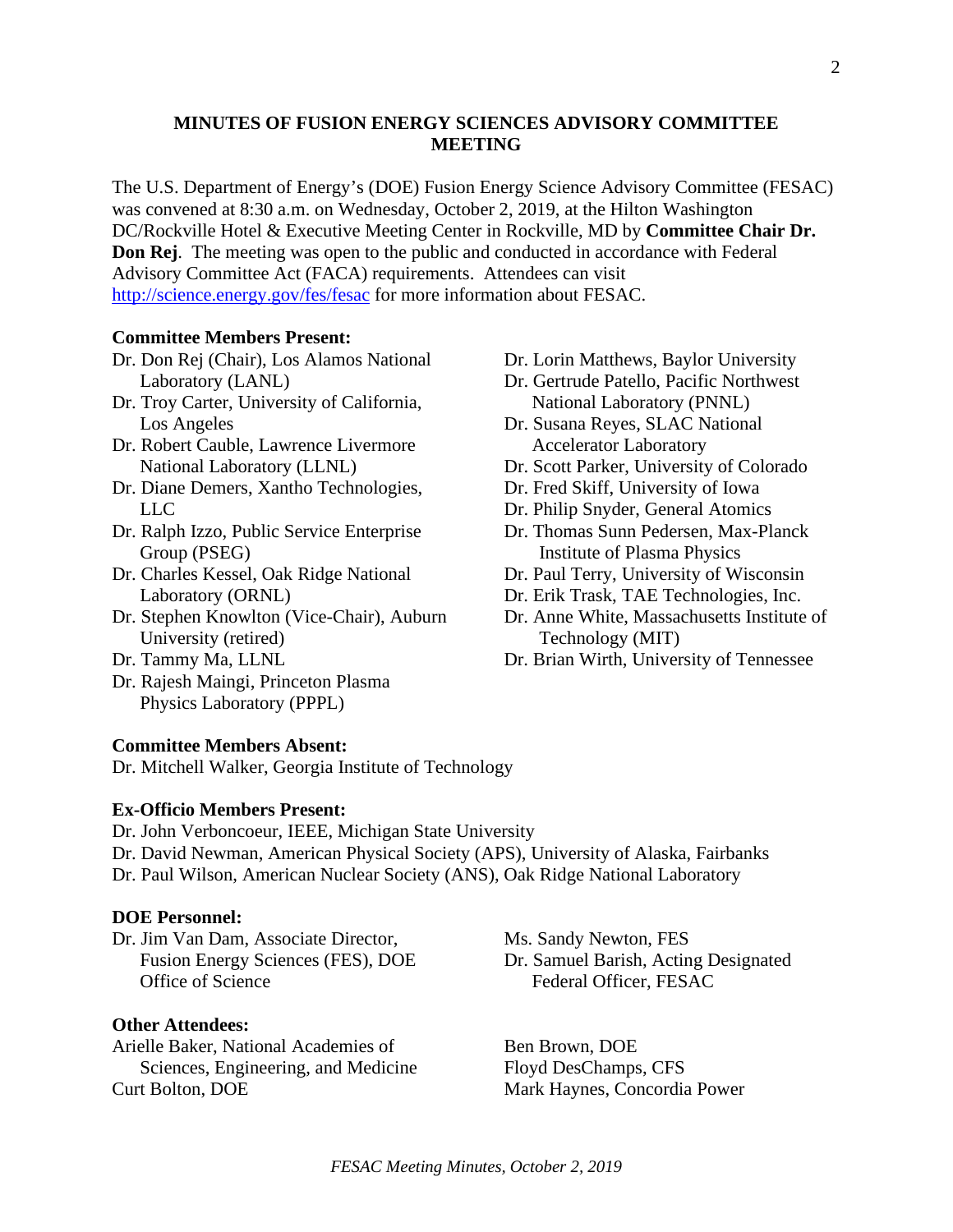# **MINUTES OF FUSION ENERGY SCIENCES ADVISORY COMMITTEE MEETING**

The U.S. Department of Energy's (DOE) Fusion Energy Science Advisory Committee (FESAC) was convened at 8:30 a.m. on Wednesday, October 2, 2019, at the Hilton Washington DC/Rockville Hotel & Executive Meeting Center in Rockville, MD by **Committee Chair Dr. Don Rej**. The meeting was open to the public and conducted in accordance with Federal Advisory Committee Act (FACA) requirements. Attendees can visit <http://science.energy.gov/fes/fesac> for more information about FESAC.

#### **Committee Members Present:**

- Dr. Don Rej (Chair), Los Alamos National Laboratory (LANL)
- Dr. Troy Carter, University of California, Los Angeles
- Dr. Robert Cauble, Lawrence Livermore National Laboratory (LLNL)
- Dr. Diane Demers, Xantho Technologies, LLC
- Dr. Ralph Izzo, Public Service Enterprise Group (PSEG)
- Dr. Charles Kessel, Oak Ridge National Laboratory (ORNL)
- Dr. Stephen Knowlton (Vice-Chair), Auburn University (retired)
- Dr. Tammy Ma, LLNL
- Dr. Rajesh Maingi, Princeton Plasma Physics Laboratory (PPPL)

#### **Committee Members Absent:**

Dr. Mitchell Walker, Georgia Institute of Technology

#### **Ex-Officio Members Present:**

Dr. John Verboncoeur, IEEE, Michigan State University Dr. David Newman, American Physical Society (APS), University of Alaska, Fairbanks Dr. Paul Wilson, American Nuclear Society (ANS), Oak Ridge National Laboratory

## **DOE Personnel:**

Dr. Jim Van Dam, Associate Director, Fusion Energy Sciences (FES), DOE Office of Science

## **Other Attendees:**

Arielle Baker, National Academies of Sciences, Engineering, and Medicine Curt Bolton, DOE

Dr. Lorin Matthews, Baylor University

- Dr. Gertrude Patello, Pacific Northwest National Laboratory (PNNL)
- Dr. Susana Reyes, SLAC National Accelerator Laboratory
- Dr. Scott Parker, University of Colorado
- Dr. Fred Skiff, University of Iowa
- Dr. Philip Snyder, General Atomics
- Dr. Thomas Sunn Pedersen, Max-Planck Institute of Plasma Physics
- Dr. Paul Terry, University of Wisconsin
- Dr. Erik Trask, TAE Technologies, Inc.
- Dr. Anne White, Massachusetts Institute of Technology (MIT)
- Dr. Brian Wirth, University of Tennessee

Ms. Sandy Newton, FES Dr. Samuel Barish, Acting Designated Federal Officer, FESAC

Ben Brown, DOE Floyd DesChamps, CFS Mark Haynes, Concordia Power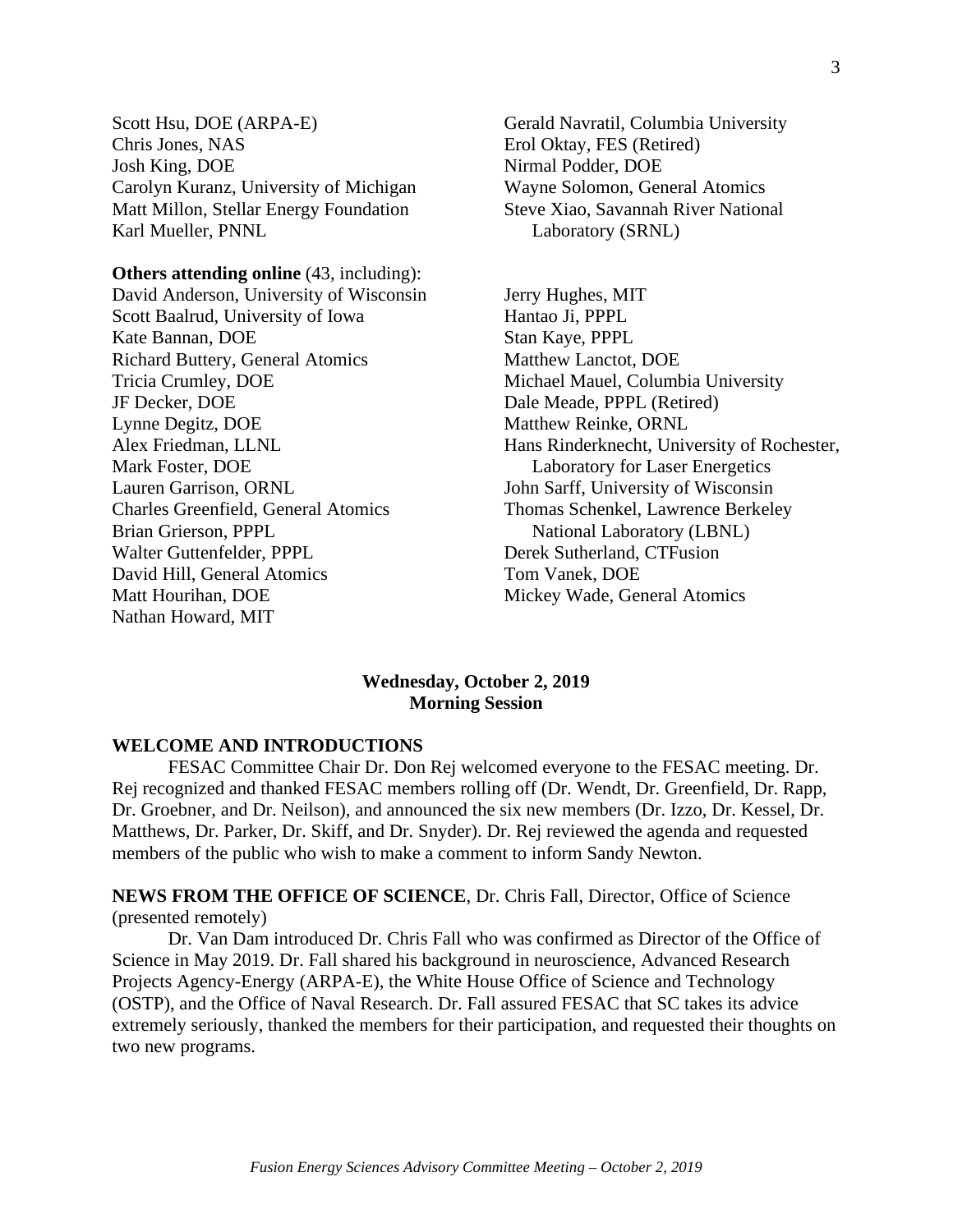Scott Hsu, DOE (ARPA-E) Chris Jones, NAS Josh King, DOE Carolyn Kuranz, University of Michigan Matt Millon, Stellar Energy Foundation Karl Mueller, PNNL

**Others attending online** (43, including): David Anderson, University of Wisconsin Scott Baalrud, University of Iowa Kate Bannan, DOE Richard Buttery, General Atomics Tricia Crumley, DOE JF Decker, DOE Lynne Degitz, DOE Alex Friedman, LLNL Mark Foster, DOE Lauren Garrison, ORNL Charles Greenfield, General Atomics Brian Grierson, PPPL Walter Guttenfelder, PPPL David Hill, General Atomics Matt Hourihan, DOE Nathan Howard, MIT

Gerald Navratil, Columbia University Erol Oktay, FES (Retired) Nirmal Podder, DOE Wayne Solomon, General Atomics Steve Xiao, Savannah River National Laboratory (SRNL)

Jerry Hughes, MIT Hantao Ji, PPPL Stan Kaye, PPPL Matthew Lanctot, DOE Michael Mauel, Columbia University Dale Meade, PPPL (Retired) Matthew Reinke, ORNL Hans Rinderknecht, University of Rochester, Laboratory for Laser Energetics John Sarff, University of Wisconsin Thomas Schenkel, Lawrence Berkeley National Laboratory (LBNL) Derek Sutherland, CTFusion Tom Vanek, DOE Mickey Wade, General Atomics

## **Wednesday, October 2, 2019 Morning Session**

#### **WELCOME AND INTRODUCTIONS**

FESAC Committee Chair Dr. Don Rej welcomed everyone to the FESAC meeting. Dr. Rej recognized and thanked FESAC members rolling off (Dr. Wendt, Dr. Greenfield, Dr. Rapp, Dr. Groebner, and Dr. Neilson), and announced the six new members (Dr. Izzo, Dr. Kessel, Dr. Matthews, Dr. Parker, Dr. Skiff, and Dr. Snyder). Dr. Rej reviewed the agenda and requested members of the public who wish to make a comment to inform Sandy Newton.

## **NEWS FROM THE OFFICE OF SCIENCE**, Dr. Chris Fall, Director, Office of Science (presented remotely)

Dr. Van Dam introduced Dr. Chris Fall who was confirmed as Director of the Office of Science in May 2019. Dr. Fall shared his background in neuroscience, Advanced Research Projects Agency-Energy (ARPA-E), the White House Office of Science and Technology (OSTP), and the Office of Naval Research. Dr. Fall assured FESAC that SC takes its advice extremely seriously, thanked the members for their participation, and requested their thoughts on two new programs.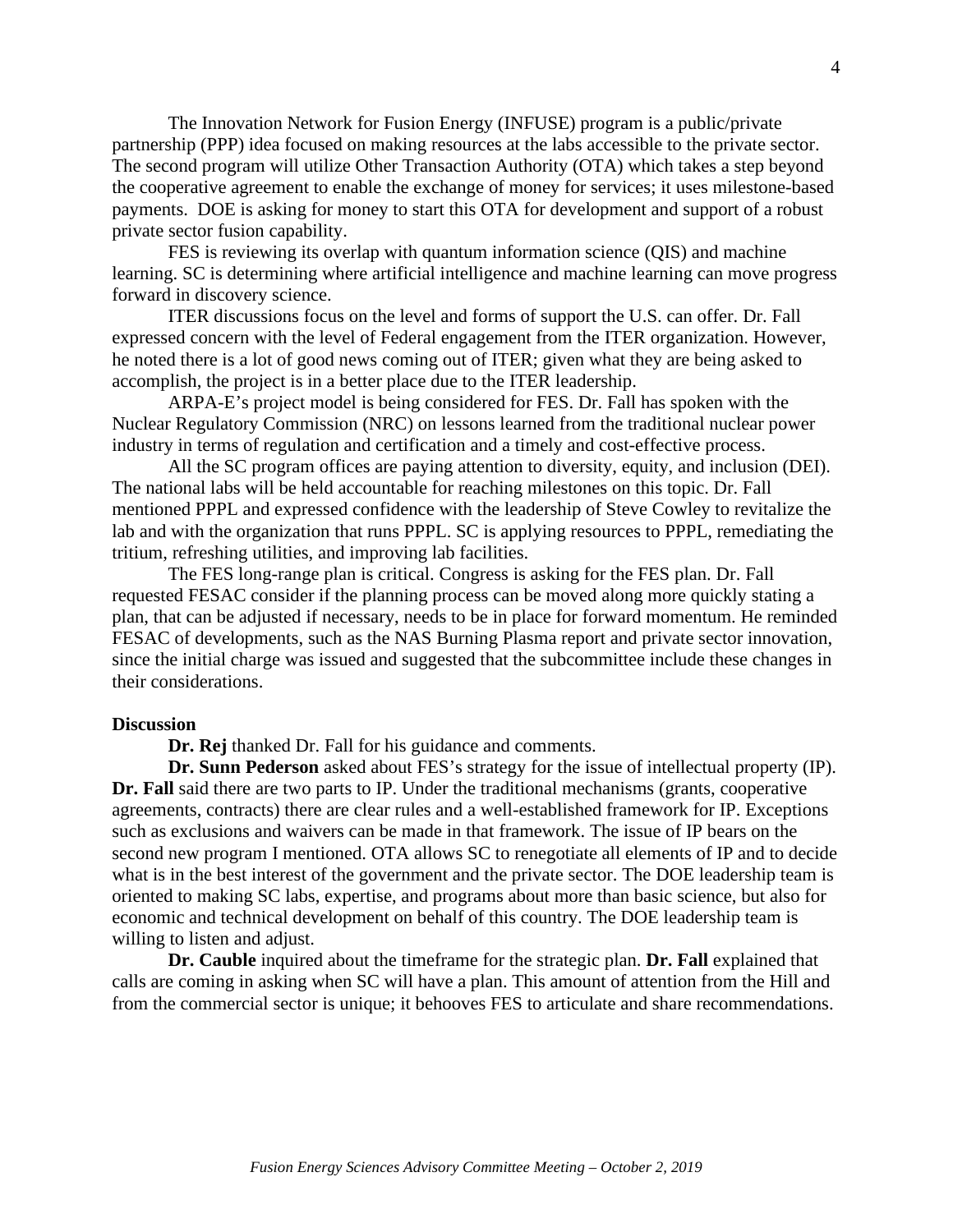The Innovation Network for Fusion Energy (INFUSE) program is a public/private partnership (PPP) idea focused on making resources at the labs accessible to the private sector. The second program will utilize Other Transaction Authority (OTA) which takes a step beyond the cooperative agreement to enable the exchange of money for services; it uses milestone-based payments. DOE is asking for money to start this OTA for development and support of a robust private sector fusion capability.

FES is reviewing its overlap with quantum information science (QIS) and machine learning. SC is determining where artificial intelligence and machine learning can move progress forward in discovery science.

ITER discussions focus on the level and forms of support the U.S. can offer. Dr. Fall expressed concern with the level of Federal engagement from the ITER organization. However, he noted there is a lot of good news coming out of ITER; given what they are being asked to accomplish, the project is in a better place due to the ITER leadership.

ARPA-E's project model is being considered for FES. Dr. Fall has spoken with the Nuclear Regulatory Commission (NRC) on lessons learned from the traditional nuclear power industry in terms of regulation and certification and a timely and cost-effective process.

All the SC program offices are paying attention to diversity, equity, and inclusion (DEI). The national labs will be held accountable for reaching milestones on this topic. Dr. Fall mentioned PPPL and expressed confidence with the leadership of Steve Cowley to revitalize the lab and with the organization that runs PPPL. SC is applying resources to PPPL, remediating the tritium, refreshing utilities, and improving lab facilities.

The FES long-range plan is critical. Congress is asking for the FES plan. Dr. Fall requested FESAC consider if the planning process can be moved along more quickly stating a plan, that can be adjusted if necessary, needs to be in place for forward momentum. He reminded FESAC of developments, such as the NAS Burning Plasma report and private sector innovation, since the initial charge was issued and suggested that the subcommittee include these changes in their considerations.

#### **Discussion**

**Dr. Rej** thanked Dr. Fall for his guidance and comments.

**Dr. Sunn Pederson** asked about FES's strategy for the issue of intellectual property (IP). **Dr. Fall** said there are two parts to IP. Under the traditional mechanisms (grants, cooperative agreements, contracts) there are clear rules and a well-established framework for IP. Exceptions such as exclusions and waivers can be made in that framework. The issue of IP bears on the second new program I mentioned. OTA allows SC to renegotiate all elements of IP and to decide what is in the best interest of the government and the private sector. The DOE leadership team is oriented to making SC labs, expertise, and programs about more than basic science, but also for economic and technical development on behalf of this country. The DOE leadership team is willing to listen and adjust.

**Dr. Cauble** inquired about the timeframe for the strategic plan. **Dr. Fall** explained that calls are coming in asking when SC will have a plan. This amount of attention from the Hill and from the commercial sector is unique; it behooves FES to articulate and share recommendations.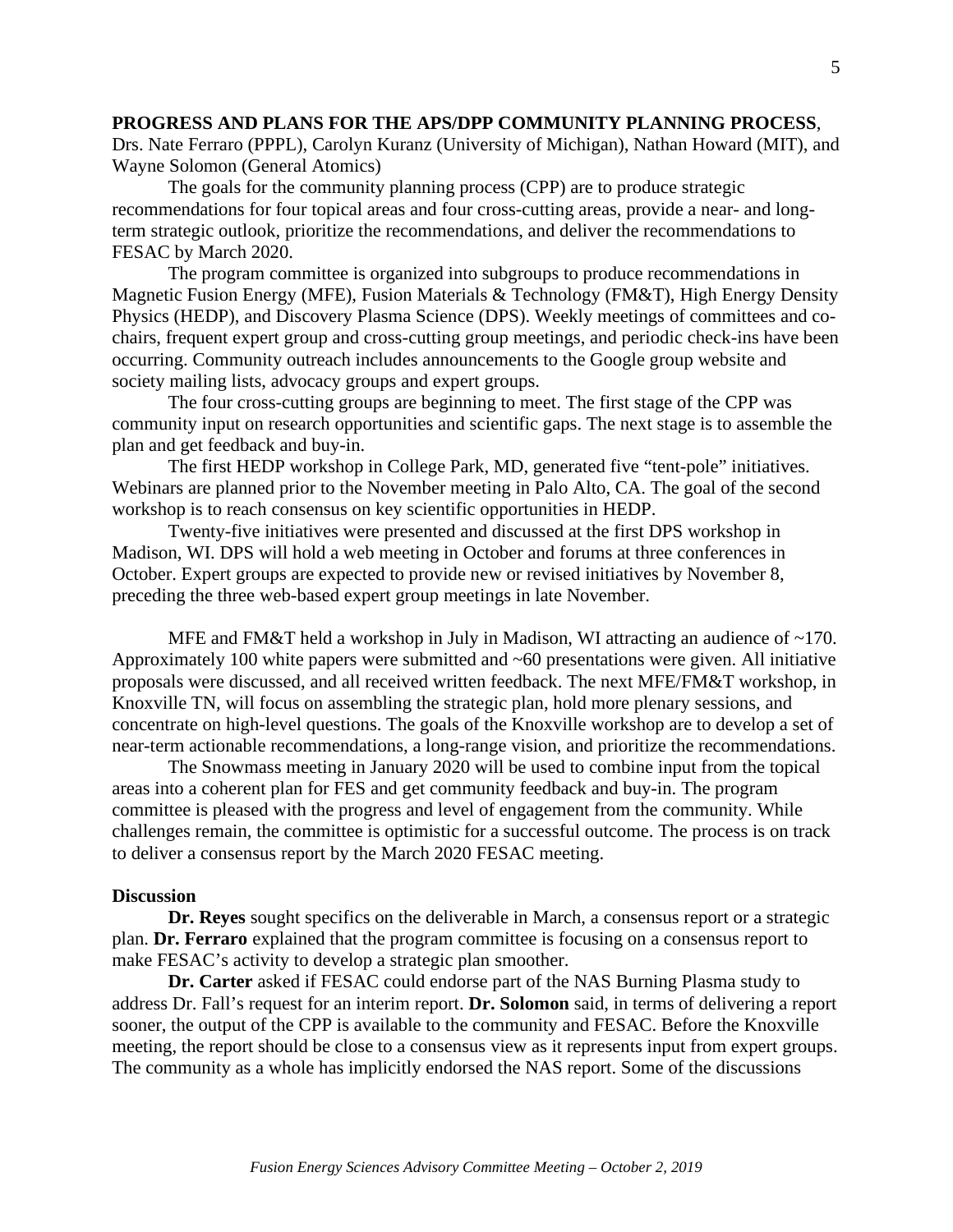## **PROGRESS AND PLANS FOR THE APS/DPP COMMUNITY PLANNING PROCESS**,

Drs. Nate Ferraro (PPPL), Carolyn Kuranz (University of Michigan), Nathan Howard (MIT), and Wayne Solomon (General Atomics)

The goals for the community planning process (CPP) are to produce strategic recommendations for four topical areas and four cross-cutting areas, provide a near- and longterm strategic outlook, prioritize the recommendations, and deliver the recommendations to FESAC by March 2020.

The program committee is organized into subgroups to produce recommendations in Magnetic Fusion Energy (MFE), Fusion Materials & Technology (FM&T), High Energy Density Physics (HEDP), and Discovery Plasma Science (DPS). Weekly meetings of committees and cochairs, frequent expert group and cross-cutting group meetings, and periodic check-ins have been occurring. Community outreach includes announcements to the Google group website and society mailing lists, advocacy groups and expert groups.

The four cross-cutting groups are beginning to meet. The first stage of the CPP was community input on research opportunities and scientific gaps. The next stage is to assemble the plan and get feedback and buy-in.

The first HEDP workshop in College Park, MD, generated five "tent-pole" initiatives. Webinars are planned prior to the November meeting in Palo Alto, CA. The goal of the second workshop is to reach consensus on key scientific opportunities in HEDP.

Twenty-five initiatives were presented and discussed at the first DPS workshop in Madison, WI. DPS will hold a web meeting in October and forums at three conferences in October. Expert groups are expected to provide new or revised initiatives by November 8, preceding the three web-based expert group meetings in late November.

MFE and FM&T held a workshop in July in Madison, WI attracting an audience of ~170. Approximately 100 white papers were submitted and ~60 presentations were given. All initiative proposals were discussed, and all received written feedback. The next MFE/FM&T workshop, in Knoxville TN, will focus on assembling the strategic plan, hold more plenary sessions, and concentrate on high-level questions. The goals of the Knoxville workshop are to develop a set of near-term actionable recommendations, a long-range vision, and prioritize the recommendations.

The Snowmass meeting in January 2020 will be used to combine input from the topical areas into a coherent plan for FES and get community feedback and buy-in. The program committee is pleased with the progress and level of engagement from the community. While challenges remain, the committee is optimistic for a successful outcome. The process is on track to deliver a consensus report by the March 2020 FESAC meeting.

#### **Discussion**

**Dr. Reyes** sought specifics on the deliverable in March, a consensus report or a strategic plan. **Dr. Ferraro** explained that the program committee is focusing on a consensus report to make FESAC's activity to develop a strategic plan smoother.

**Dr. Carter** asked if FESAC could endorse part of the NAS Burning Plasma study to address Dr. Fall's request for an interim report. **Dr. Solomon** said, in terms of delivering a report sooner, the output of the CPP is available to the community and FESAC. Before the Knoxville meeting, the report should be close to a consensus view as it represents input from expert groups. The community as a whole has implicitly endorsed the NAS report. Some of the discussions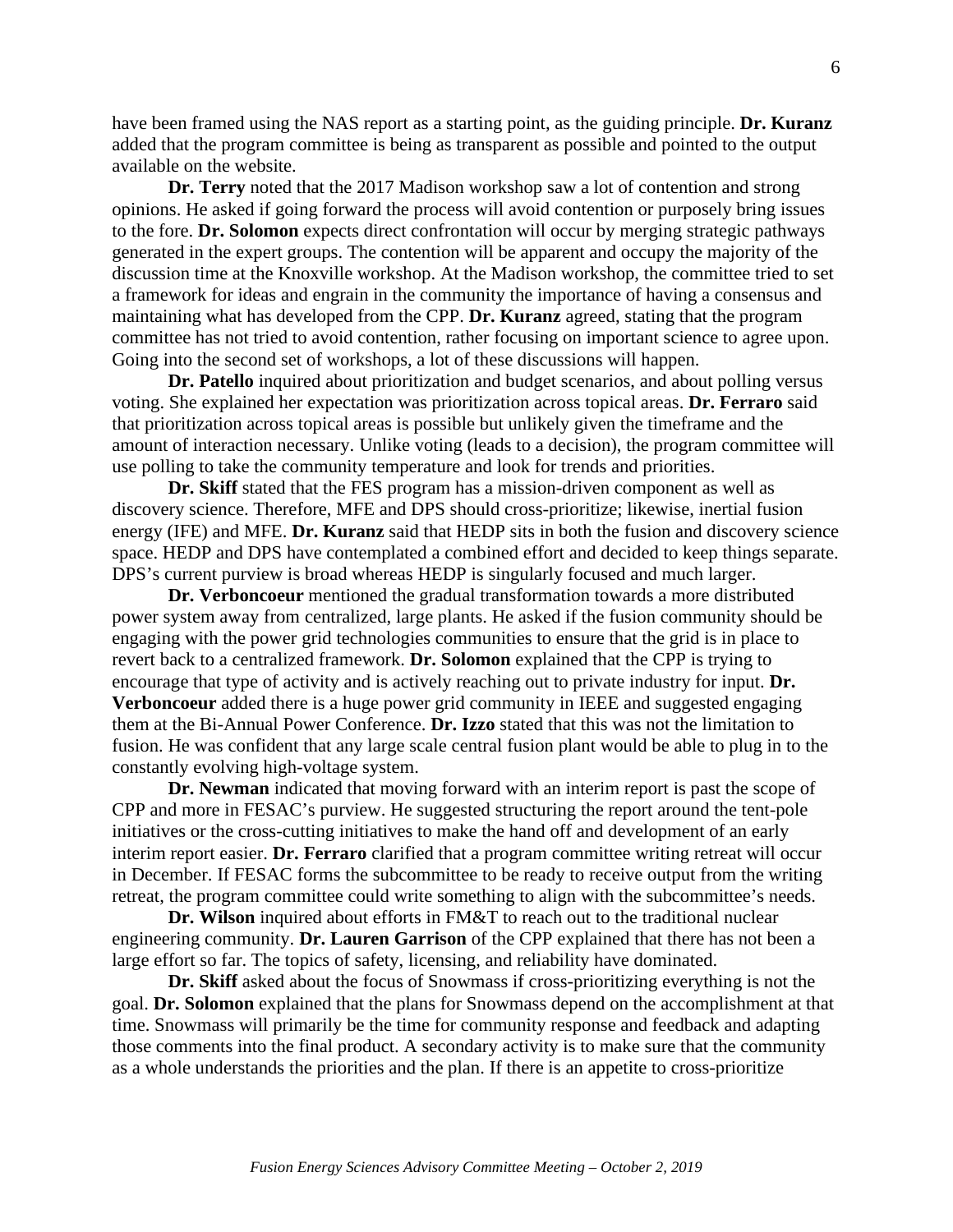have been framed using the NAS report as a starting point, as the guiding principle. **Dr. Kuranz** added that the program committee is being as transparent as possible and pointed to the output available on the website.

**Dr. Terry** noted that the 2017 Madison workshop saw a lot of contention and strong opinions. He asked if going forward the process will avoid contention or purposely bring issues to the fore. **Dr. Solomon** expects direct confrontation will occur by merging strategic pathways generated in the expert groups. The contention will be apparent and occupy the majority of the discussion time at the Knoxville workshop. At the Madison workshop, the committee tried to set a framework for ideas and engrain in the community the importance of having a consensus and maintaining what has developed from the CPP. **Dr. Kuranz** agreed, stating that the program committee has not tried to avoid contention, rather focusing on important science to agree upon. Going into the second set of workshops, a lot of these discussions will happen.

**Dr. Patello** inquired about prioritization and budget scenarios, and about polling versus voting. She explained her expectation was prioritization across topical areas. **Dr. Ferraro** said that prioritization across topical areas is possible but unlikely given the timeframe and the amount of interaction necessary. Unlike voting (leads to a decision), the program committee will use polling to take the community temperature and look for trends and priorities.

**Dr. Skiff** stated that the FES program has a mission-driven component as well as discovery science. Therefore, MFE and DPS should cross-prioritize; likewise, inertial fusion energy (IFE) and MFE. **Dr. Kuranz** said that HEDP sits in both the fusion and discovery science space. HEDP and DPS have contemplated a combined effort and decided to keep things separate. DPS's current purview is broad whereas HEDP is singularly focused and much larger.

**Dr. Verboncoeur** mentioned the gradual transformation towards a more distributed power system away from centralized, large plants. He asked if the fusion community should be engaging with the power grid technologies communities to ensure that the grid is in place to revert back to a centralized framework. **Dr. Solomon** explained that the CPP is trying to encourage that type of activity and is actively reaching out to private industry for input. **Dr. Verboncoeur** added there is a huge power grid community in IEEE and suggested engaging them at the Bi-Annual Power Conference. **Dr. Izzo** stated that this was not the limitation to fusion. He was confident that any large scale central fusion plant would be able to plug in to the constantly evolving high-voltage system.

**Dr. Newman** indicated that moving forward with an interim report is past the scope of CPP and more in FESAC's purview. He suggested structuring the report around the tent-pole initiatives or the cross-cutting initiatives to make the hand off and development of an early interim report easier. **Dr. Ferraro** clarified that a program committee writing retreat will occur in December. If FESAC forms the subcommittee to be ready to receive output from the writing retreat, the program committee could write something to align with the subcommittee's needs.

**Dr. Wilson** inquired about efforts in FM&T to reach out to the traditional nuclear engineering community. **Dr. Lauren Garrison** of the CPP explained that there has not been a large effort so far. The topics of safety, licensing, and reliability have dominated.

**Dr. Skiff** asked about the focus of Snowmass if cross-prioritizing everything is not the goal. **Dr. Solomon** explained that the plans for Snowmass depend on the accomplishment at that time. Snowmass will primarily be the time for community response and feedback and adapting those comments into the final product. A secondary activity is to make sure that the community as a whole understands the priorities and the plan. If there is an appetite to cross-prioritize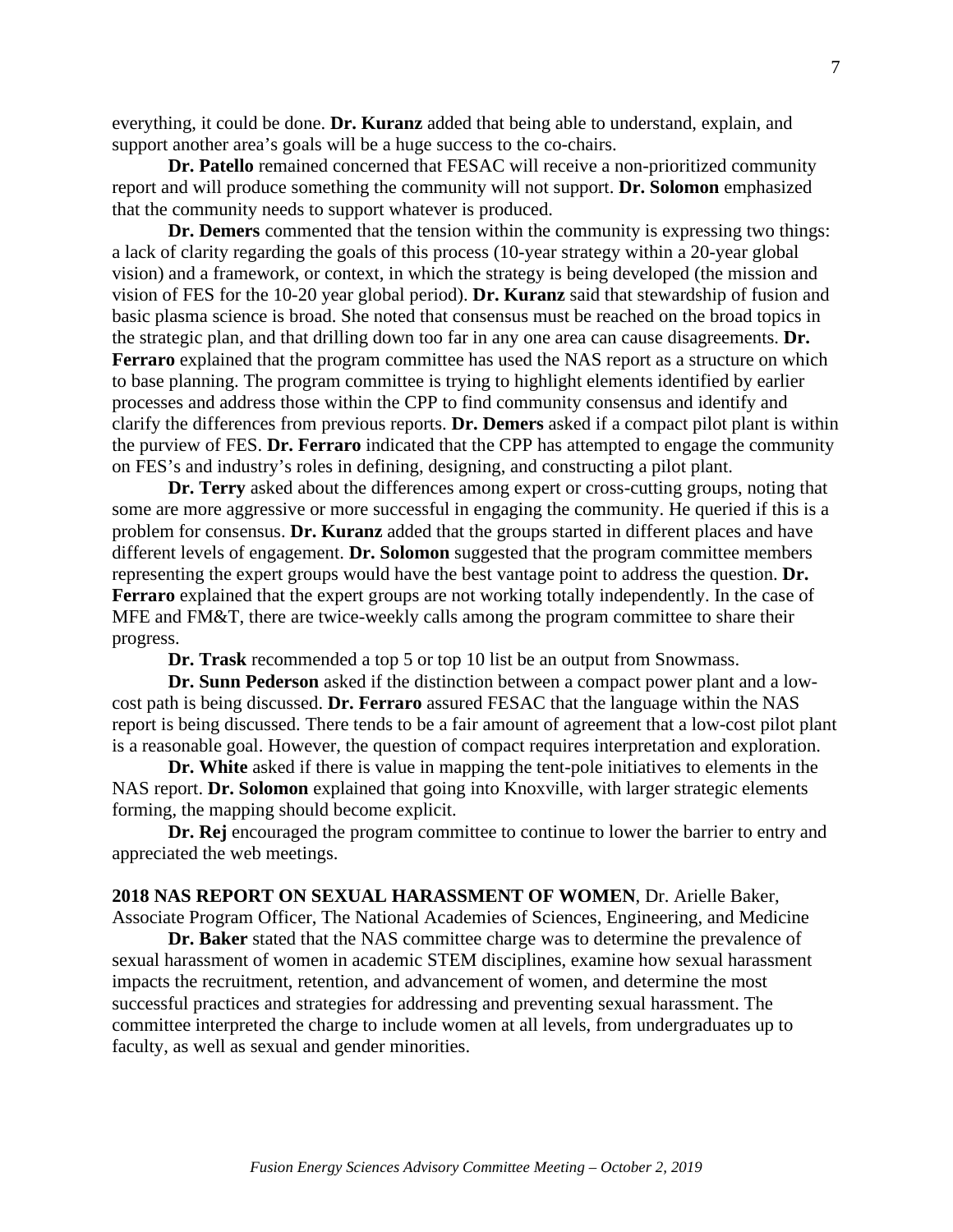everything, it could be done. **Dr. Kuranz** added that being able to understand, explain, and support another area's goals will be a huge success to the co-chairs.

**Dr. Patello** remained concerned that FESAC will receive a non-prioritized community report and will produce something the community will not support. **Dr. Solomon** emphasized that the community needs to support whatever is produced.

**Dr. Demers** commented that the tension within the community is expressing two things: a lack of clarity regarding the goals of this process (10-year strategy within a 20-year global vision) and a framework, or context, in which the strategy is being developed (the mission and vision of FES for the 10-20 year global period). **Dr. Kuranz** said that stewardship of fusion and basic plasma science is broad. She noted that consensus must be reached on the broad topics in the strategic plan, and that drilling down too far in any one area can cause disagreements. **Dr. Ferraro** explained that the program committee has used the NAS report as a structure on which to base planning. The program committee is trying to highlight elements identified by earlier processes and address those within the CPP to find community consensus and identify and clarify the differences from previous reports. **Dr. Demers** asked if a compact pilot plant is within the purview of FES. **Dr. Ferraro** indicated that the CPP has attempted to engage the community on FES's and industry's roles in defining, designing, and constructing a pilot plant.

**Dr. Terry** asked about the differences among expert or cross-cutting groups, noting that some are more aggressive or more successful in engaging the community. He queried if this is a problem for consensus. **Dr. Kuranz** added that the groups started in different places and have different levels of engagement. **Dr. Solomon** suggested that the program committee members representing the expert groups would have the best vantage point to address the question. **Dr. Ferraro** explained that the expert groups are not working totally independently. In the case of MFE and FM&T, there are twice-weekly calls among the program committee to share their progress.

**Dr. Trask** recommended a top 5 or top 10 list be an output from Snowmass.

**Dr. Sunn Pederson** asked if the distinction between a compact power plant and a lowcost path is being discussed. **Dr. Ferraro** assured FESAC that the language within the NAS report is being discussed. There tends to be a fair amount of agreement that a low-cost pilot plant is a reasonable goal. However, the question of compact requires interpretation and exploration.

**Dr. White** asked if there is value in mapping the tent-pole initiatives to elements in the NAS report. **Dr. Solomon** explained that going into Knoxville, with larger strategic elements forming, the mapping should become explicit.

**Dr. Rej** encouraged the program committee to continue to lower the barrier to entry and appreciated the web meetings.

**2018 NAS REPORT ON SEXUAL HARASSMENT OF WOMEN**, Dr. Arielle Baker, Associate Program Officer, The National Academies of Sciences, Engineering, and Medicine

**Dr. Baker** stated that the NAS committee charge was to determine the prevalence of sexual harassment of women in academic STEM disciplines, examine how sexual harassment impacts the recruitment, retention, and advancement of women, and determine the most successful practices and strategies for addressing and preventing sexual harassment. The committee interpreted the charge to include women at all levels, from undergraduates up to faculty, as well as sexual and gender minorities.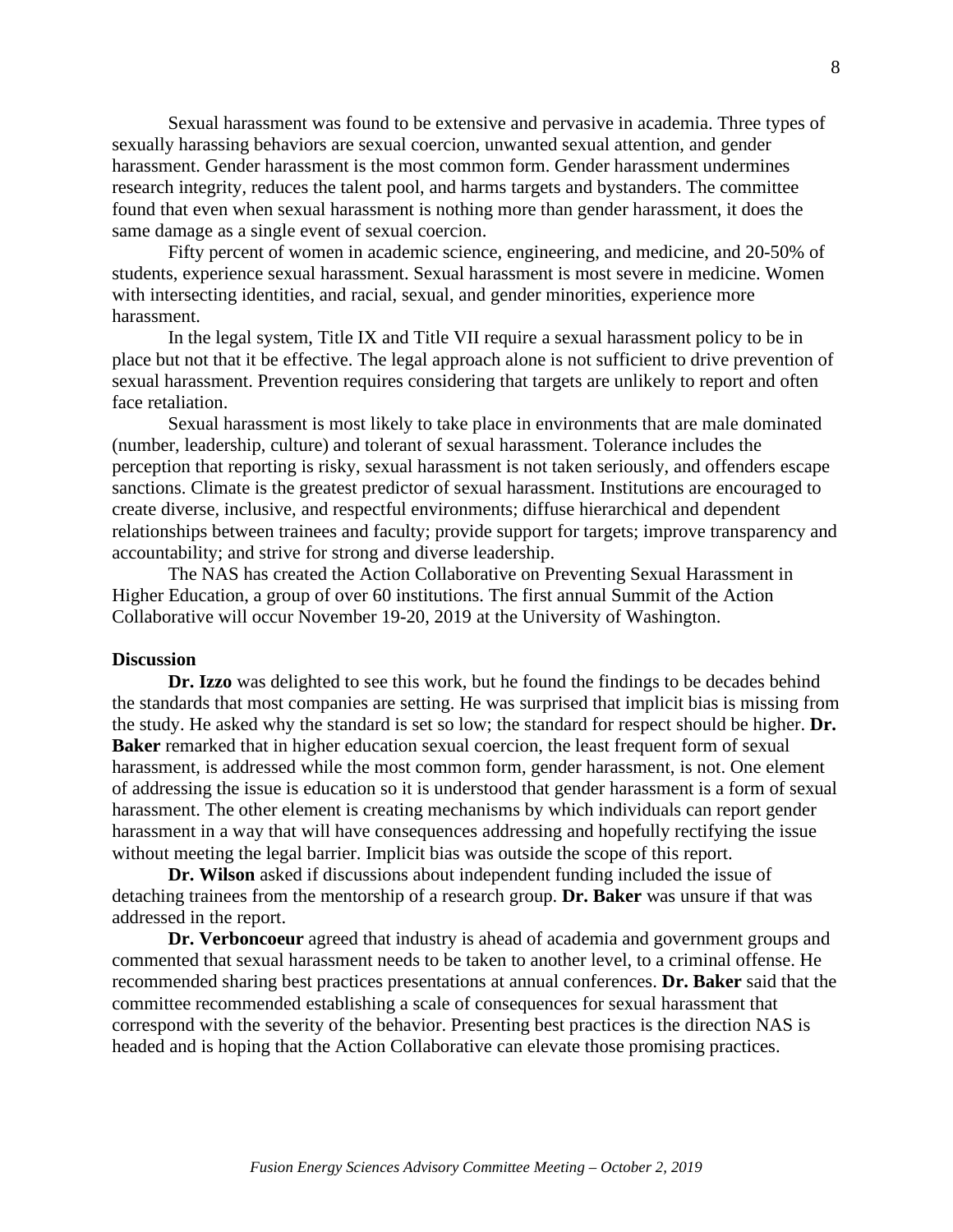Sexual harassment was found to be extensive and pervasive in academia. Three types of sexually harassing behaviors are sexual coercion, unwanted sexual attention, and gender harassment. Gender harassment is the most common form. Gender harassment undermines research integrity, reduces the talent pool, and harms targets and bystanders. The committee found that even when sexual harassment is nothing more than gender harassment, it does the same damage as a single event of sexual coercion.

Fifty percent of women in academic science, engineering, and medicine, and 20-50% of students, experience sexual harassment. Sexual harassment is most severe in medicine. Women with intersecting identities, and racial, sexual, and gender minorities, experience more harassment.

In the legal system, Title IX and Title VII require a sexual harassment policy to be in place but not that it be effective. The legal approach alone is not sufficient to drive prevention of sexual harassment. Prevention requires considering that targets are unlikely to report and often face retaliation.

Sexual harassment is most likely to take place in environments that are male dominated (number, leadership, culture) and tolerant of sexual harassment. Tolerance includes the perception that reporting is risky, sexual harassment is not taken seriously, and offenders escape sanctions. Climate is the greatest predictor of sexual harassment. Institutions are encouraged to create diverse, inclusive, and respectful environments; diffuse hierarchical and dependent relationships between trainees and faculty; provide support for targets; improve transparency and accountability; and strive for strong and diverse leadership.

The NAS has created the Action Collaborative on Preventing Sexual Harassment in Higher Education, a group of over 60 institutions. The first annual Summit of the Action Collaborative will occur November 19-20, 2019 at the University of Washington.

#### **Discussion**

**Dr. Izzo** was delighted to see this work, but he found the findings to be decades behind the standards that most companies are setting. He was surprised that implicit bias is missing from the study. He asked why the standard is set so low; the standard for respect should be higher. **Dr. Baker** remarked that in higher education sexual coercion, the least frequent form of sexual harassment, is addressed while the most common form, gender harassment, is not. One element of addressing the issue is education so it is understood that gender harassment is a form of sexual harassment. The other element is creating mechanisms by which individuals can report gender harassment in a way that will have consequences addressing and hopefully rectifying the issue without meeting the legal barrier. Implicit bias was outside the scope of this report.

**Dr. Wilson** asked if discussions about independent funding included the issue of detaching trainees from the mentorship of a research group. **Dr. Baker** was unsure if that was addressed in the report.

**Dr. Verboncoeur** agreed that industry is ahead of academia and government groups and commented that sexual harassment needs to be taken to another level, to a criminal offense. He recommended sharing best practices presentations at annual conferences. **Dr. Baker** said that the committee recommended establishing a scale of consequences for sexual harassment that correspond with the severity of the behavior. Presenting best practices is the direction NAS is headed and is hoping that the Action Collaborative can elevate those promising practices.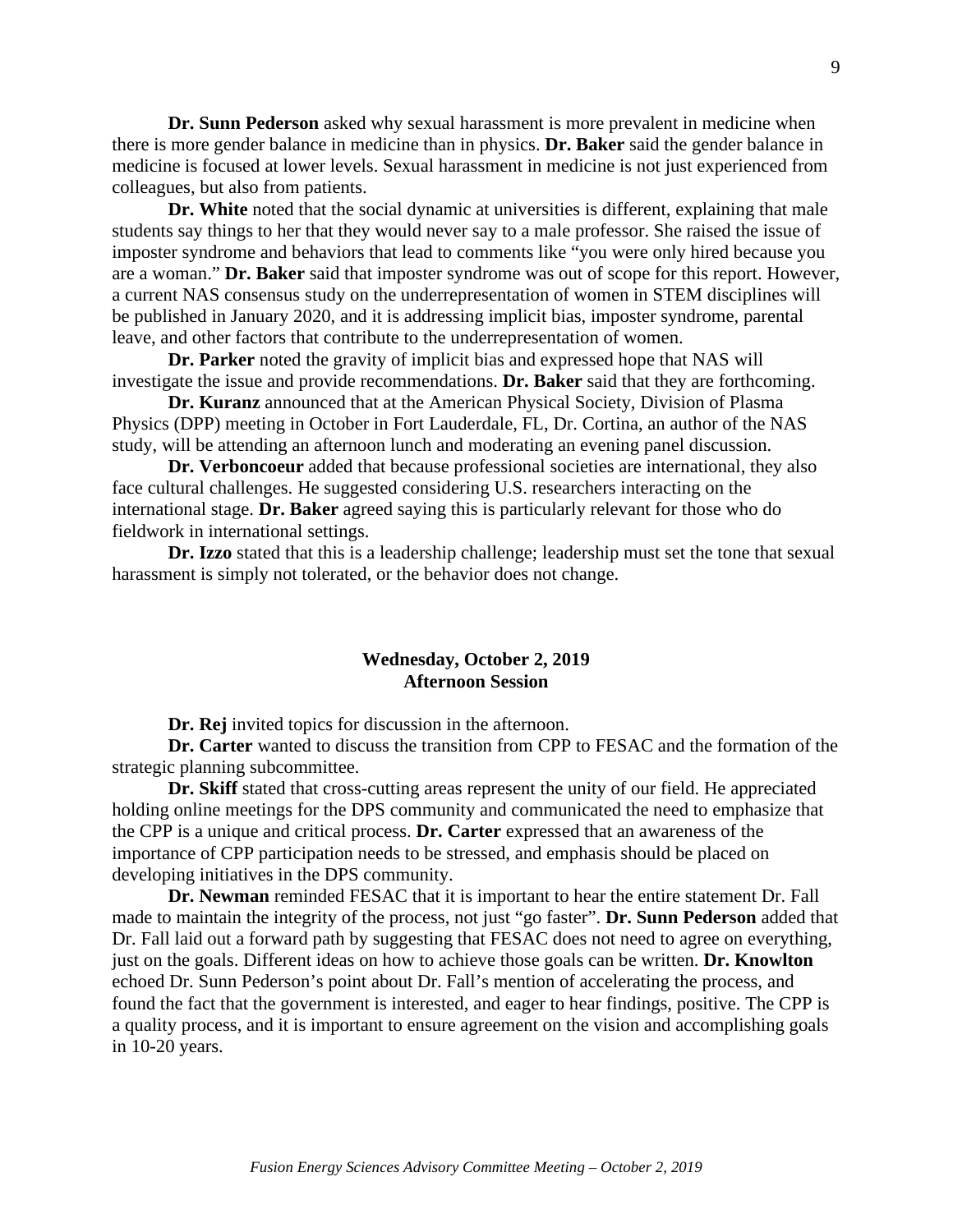**Dr. Sunn Pederson** asked why sexual harassment is more prevalent in medicine when there is more gender balance in medicine than in physics. **Dr. Baker** said the gender balance in medicine is focused at lower levels. Sexual harassment in medicine is not just experienced from colleagues, but also from patients.

**Dr. White** noted that the social dynamic at universities is different, explaining that male students say things to her that they would never say to a male professor. She raised the issue of imposter syndrome and behaviors that lead to comments like "you were only hired because you are a woman." **Dr. Baker** said that imposter syndrome was out of scope for this report. However, a current NAS consensus study on the underrepresentation of women in STEM disciplines will be published in January 2020, and it is addressing implicit bias, imposter syndrome, parental leave, and other factors that contribute to the underrepresentation of women.

**Dr. Parker** noted the gravity of implicit bias and expressed hope that NAS will investigate the issue and provide recommendations. **Dr. Baker** said that they are forthcoming.

**Dr. Kuranz** announced that at the American Physical Society, Division of Plasma Physics (DPP) meeting in October in Fort Lauderdale, FL, Dr. Cortina, an author of the NAS study, will be attending an afternoon lunch and moderating an evening panel discussion.

**Dr. Verboncoeur** added that because professional societies are international, they also face cultural challenges. He suggested considering U.S. researchers interacting on the international stage. **Dr. Baker** agreed saying this is particularly relevant for those who do fieldwork in international settings.

**Dr. Izzo** stated that this is a leadership challenge; leadership must set the tone that sexual harassment is simply not tolerated, or the behavior does not change.

## **Wednesday, October 2, 2019 Afternoon Session**

**Dr. Rej** invited topics for discussion in the afternoon.

**Dr. Carter** wanted to discuss the transition from CPP to FESAC and the formation of the strategic planning subcommittee.

**Dr. Skiff** stated that cross-cutting areas represent the unity of our field. He appreciated holding online meetings for the DPS community and communicated the need to emphasize that the CPP is a unique and critical process. **Dr. Carter** expressed that an awareness of the importance of CPP participation needs to be stressed, and emphasis should be placed on developing initiatives in the DPS community.

**Dr. Newman** reminded FESAC that it is important to hear the entire statement Dr. Fall made to maintain the integrity of the process, not just "go faster". **Dr. Sunn Pederson** added that Dr. Fall laid out a forward path by suggesting that FESAC does not need to agree on everything, just on the goals. Different ideas on how to achieve those goals can be written. **Dr. Knowlton** echoed Dr. Sunn Pederson's point about Dr. Fall's mention of accelerating the process, and found the fact that the government is interested, and eager to hear findings, positive. The CPP is a quality process, and it is important to ensure agreement on the vision and accomplishing goals in 10-20 years.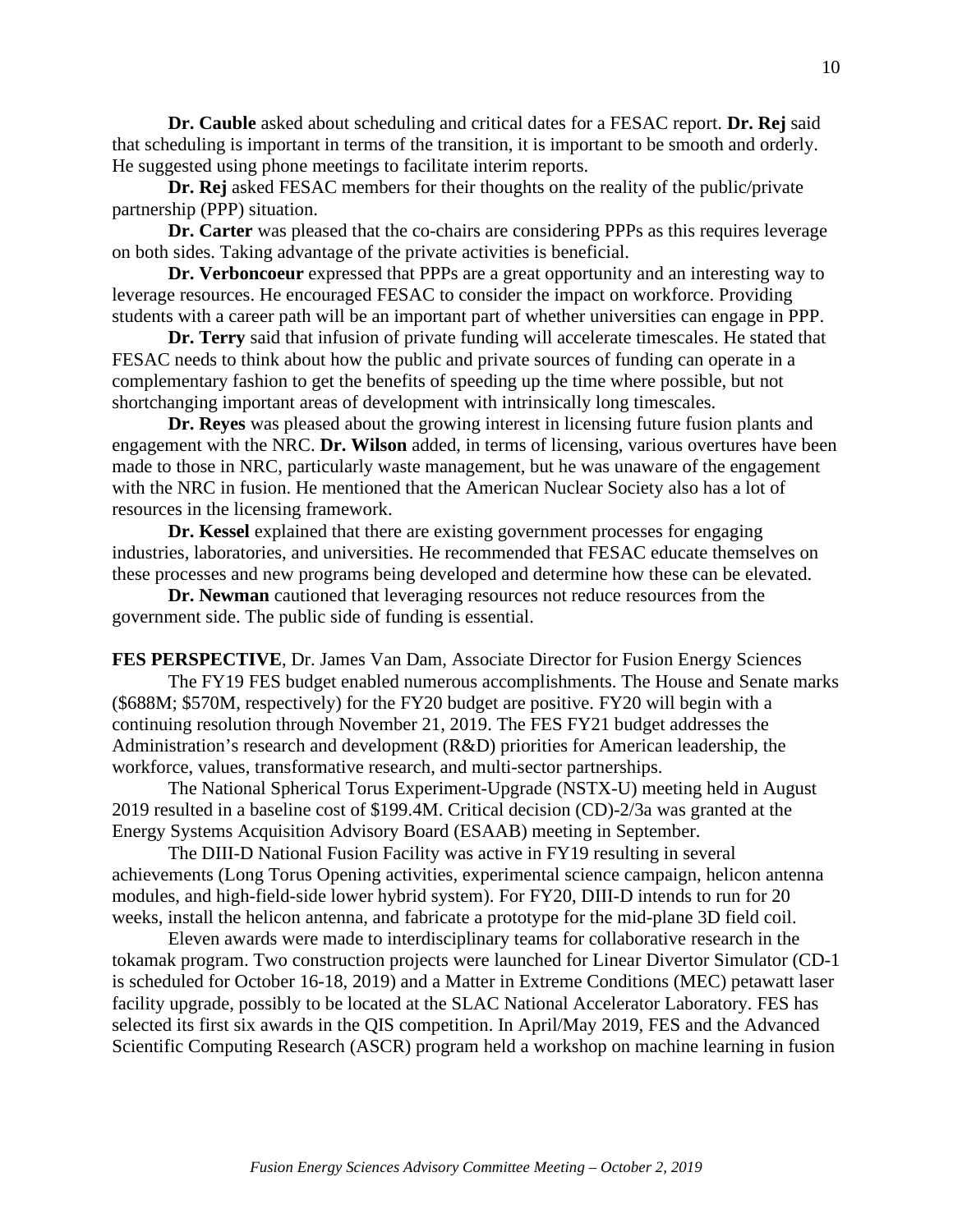**Dr. Cauble** asked about scheduling and critical dates for a FESAC report. **Dr. Rej** said that scheduling is important in terms of the transition, it is important to be smooth and orderly. He suggested using phone meetings to facilitate interim reports.

**Dr. Rej** asked FESAC members for their thoughts on the reality of the public/private partnership (PPP) situation.

**Dr. Carter** was pleased that the co-chairs are considering PPPs as this requires leverage on both sides. Taking advantage of the private activities is beneficial.

**Dr. Verboncoeur** expressed that PPPs are a great opportunity and an interesting way to leverage resources. He encouraged FESAC to consider the impact on workforce. Providing students with a career path will be an important part of whether universities can engage in PPP.

**Dr. Terry** said that infusion of private funding will accelerate timescales. He stated that FESAC needs to think about how the public and private sources of funding can operate in a complementary fashion to get the benefits of speeding up the time where possible, but not shortchanging important areas of development with intrinsically long timescales.

**Dr. Reyes** was pleased about the growing interest in licensing future fusion plants and engagement with the NRC. **Dr. Wilson** added, in terms of licensing, various overtures have been made to those in NRC, particularly waste management, but he was unaware of the engagement with the NRC in fusion. He mentioned that the American Nuclear Society also has a lot of resources in the licensing framework.

**Dr. Kessel** explained that there are existing government processes for engaging industries, laboratories, and universities. He recommended that FESAC educate themselves on these processes and new programs being developed and determine how these can be elevated.

**Dr. Newman** cautioned that leveraging resources not reduce resources from the government side. The public side of funding is essential.

**FES PERSPECTIVE**, Dr. James Van Dam, Associate Director for Fusion Energy Sciences

The FY19 FES budget enabled numerous accomplishments. The House and Senate marks (\$688M; \$570M, respectively) for the FY20 budget are positive. FY20 will begin with a continuing resolution through November 21, 2019. The FES FY21 budget addresses the Administration's research and development (R&D) priorities for American leadership, the workforce, values, transformative research, and multi-sector partnerships.

The National Spherical Torus Experiment-Upgrade (NSTX-U) meeting held in August 2019 resulted in a baseline cost of \$199.4M. Critical decision (CD)-2/3a was granted at the Energy Systems Acquisition Advisory Board (ESAAB) meeting in September.

The DIII-D National Fusion Facility was active in FY19 resulting in several achievements (Long Torus Opening activities, experimental science campaign, helicon antenna modules, and high-field-side lower hybrid system). For FY20, DIII-D intends to run for 20 weeks, install the helicon antenna, and fabricate a prototype for the mid-plane 3D field coil.

Eleven awards were made to interdisciplinary teams for collaborative research in the tokamak program. Two construction projects were launched for Linear Divertor Simulator (CD-1 is scheduled for October 16-18, 2019) and a Matter in Extreme Conditions (MEC) petawatt laser facility upgrade, possibly to be located at the SLAC National Accelerator Laboratory. FES has selected its first six awards in the QIS competition. In April/May 2019, FES and the Advanced Scientific Computing Research (ASCR) program held a workshop on machine learning in fusion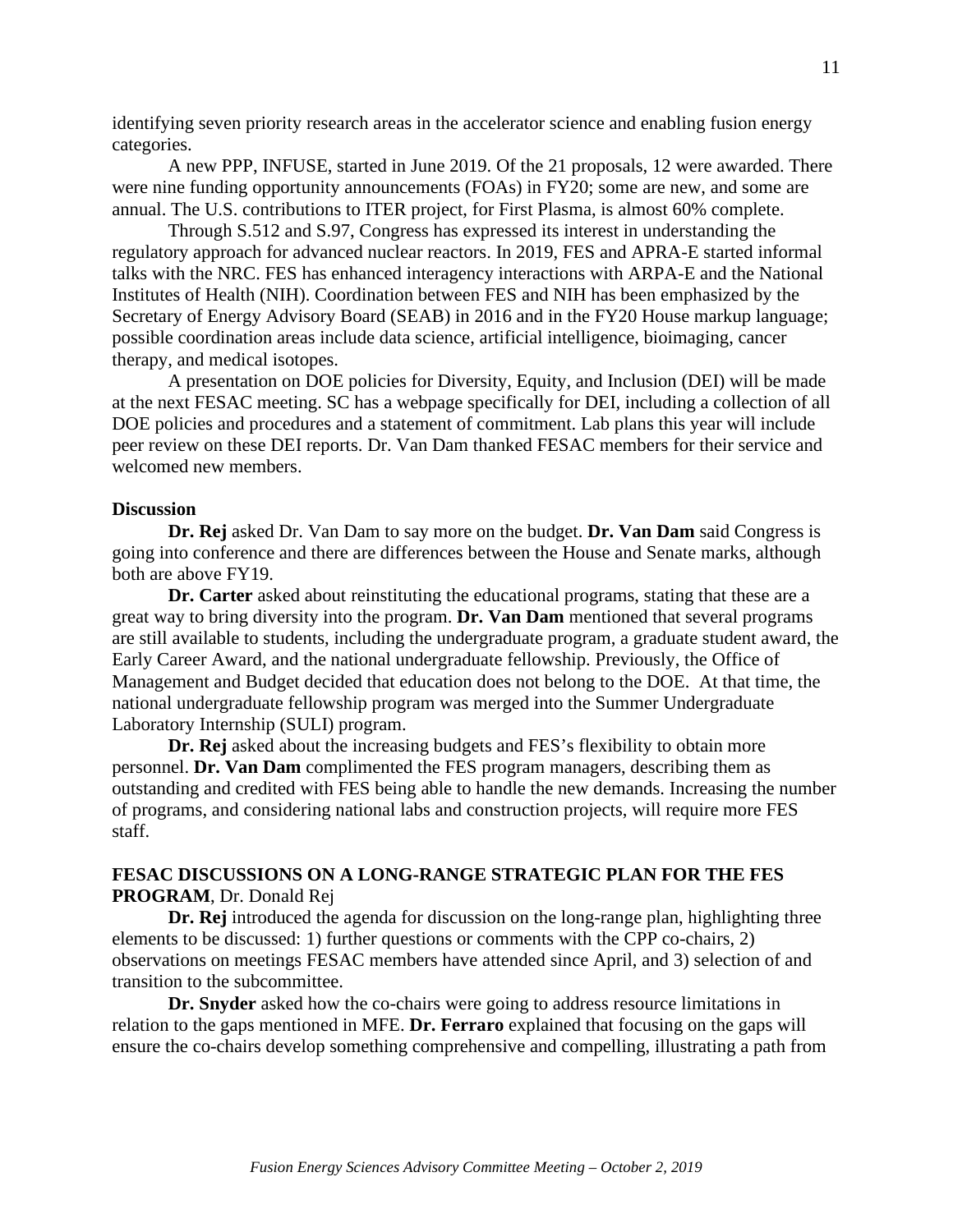identifying seven priority research areas in the accelerator science and enabling fusion energy categories.

A new PPP, INFUSE, started in June 2019. Of the 21 proposals, 12 were awarded. There were nine funding opportunity announcements (FOAs) in FY20; some are new, and some are annual. The U.S. contributions to ITER project, for First Plasma, is almost 60% complete.

Through S.512 and S.97, Congress has expressed its interest in understanding the regulatory approach for advanced nuclear reactors. In 2019, FES and APRA-E started informal talks with the NRC. FES has enhanced interagency interactions with ARPA-E and the National Institutes of Health (NIH). Coordination between FES and NIH has been emphasized by the Secretary of Energy Advisory Board (SEAB) in 2016 and in the FY20 House markup language; possible coordination areas include data science, artificial intelligence, bioimaging, cancer therapy, and medical isotopes.

A presentation on DOE policies for Diversity, Equity, and Inclusion (DEI) will be made at the next FESAC meeting. SC has a webpage specifically for DEI, including a collection of all DOE policies and procedures and a statement of commitment. Lab plans this year will include peer review on these DEI reports. Dr. Van Dam thanked FESAC members for their service and welcomed new members.

#### **Discussion**

**Dr. Rej** asked Dr. Van Dam to say more on the budget. **Dr. Van Dam** said Congress is going into conference and there are differences between the House and Senate marks, although both are above FY19.

**Dr. Carter** asked about reinstituting the educational programs, stating that these are a great way to bring diversity into the program. **Dr. Van Dam** mentioned that several programs are still available to students, including the undergraduate program, a graduate student award, the Early Career Award, and the national undergraduate fellowship. Previously, the Office of Management and Budget decided that education does not belong to the DOE. At that time, the national undergraduate fellowship program was merged into the Summer Undergraduate Laboratory Internship (SULI) program.

**Dr. Rej** asked about the increasing budgets and FES's flexibility to obtain more personnel. **Dr. Van Dam** complimented the FES program managers, describing them as outstanding and credited with FES being able to handle the new demands. Increasing the number of programs, and considering national labs and construction projects, will require more FES staff.

## **FESAC DISCUSSIONS ON A LONG-RANGE STRATEGIC PLAN FOR THE FES PROGRAM**, Dr. Donald Rej

**Dr. Rej** introduced the agenda for discussion on the long-range plan, highlighting three elements to be discussed: 1) further questions or comments with the CPP co-chairs, 2) observations on meetings FESAC members have attended since April, and 3) selection of and transition to the subcommittee.

**Dr. Snyder** asked how the co-chairs were going to address resource limitations in relation to the gaps mentioned in MFE. **Dr. Ferraro** explained that focusing on the gaps will ensure the co-chairs develop something comprehensive and compelling, illustrating a path from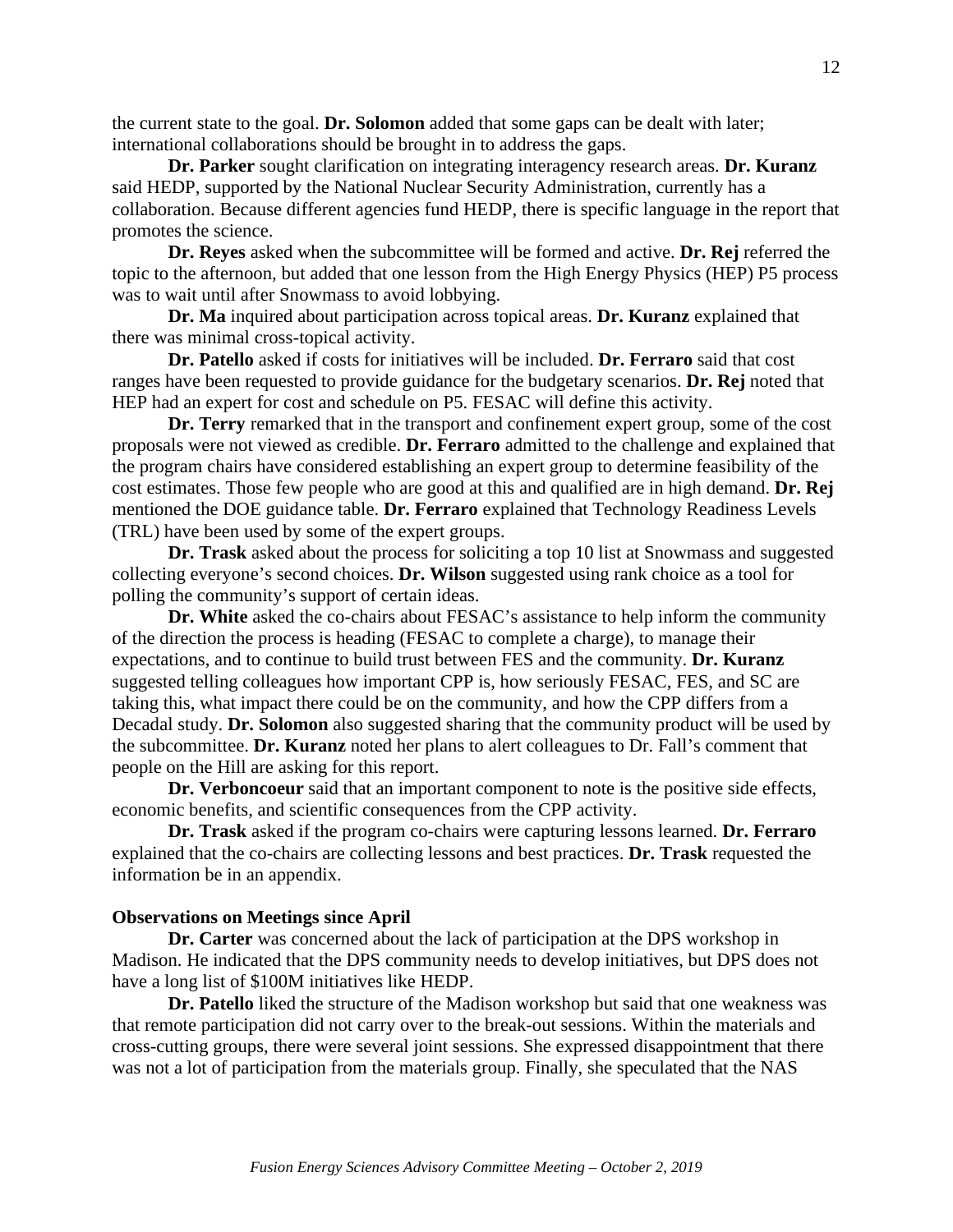the current state to the goal. **Dr. Solomon** added that some gaps can be dealt with later; international collaborations should be brought in to address the gaps.

**Dr. Parker** sought clarification on integrating interagency research areas. **Dr. Kuranz** said HEDP, supported by the National Nuclear Security Administration, currently has a collaboration. Because different agencies fund HEDP, there is specific language in the report that promotes the science.

**Dr. Reyes** asked when the subcommittee will be formed and active. **Dr. Rej** referred the topic to the afternoon, but added that one lesson from the High Energy Physics (HEP) P5 process was to wait until after Snowmass to avoid lobbying.

**Dr. Ma** inquired about participation across topical areas. **Dr. Kuranz** explained that there was minimal cross-topical activity.

**Dr. Patello** asked if costs for initiatives will be included. **Dr. Ferraro** said that cost ranges have been requested to provide guidance for the budgetary scenarios. **Dr. Rej** noted that HEP had an expert for cost and schedule on P5. FESAC will define this activity.

**Dr. Terry** remarked that in the transport and confinement expert group, some of the cost proposals were not viewed as credible. **Dr. Ferraro** admitted to the challenge and explained that the program chairs have considered establishing an expert group to determine feasibility of the cost estimates. Those few people who are good at this and qualified are in high demand. **Dr. Rej** mentioned the DOE guidance table. **Dr. Ferraro** explained that Technology Readiness Levels (TRL) have been used by some of the expert groups.

**Dr. Trask** asked about the process for soliciting a top 10 list at Snowmass and suggested collecting everyone's second choices. **Dr. Wilson** suggested using rank choice as a tool for polling the community's support of certain ideas.

**Dr. White** asked the co-chairs about FESAC's assistance to help inform the community of the direction the process is heading (FESAC to complete a charge), to manage their expectations, and to continue to build trust between FES and the community. **Dr. Kuranz** suggested telling colleagues how important CPP is, how seriously FESAC, FES, and SC are taking this, what impact there could be on the community, and how the CPP differs from a Decadal study. **Dr. Solomon** also suggested sharing that the community product will be used by the subcommittee. **Dr. Kuranz** noted her plans to alert colleagues to Dr. Fall's comment that people on the Hill are asking for this report.

**Dr. Verboncoeur** said that an important component to note is the positive side effects, economic benefits, and scientific consequences from the CPP activity.

**Dr. Trask** asked if the program co-chairs were capturing lessons learned. **Dr. Ferraro** explained that the co-chairs are collecting lessons and best practices. **Dr. Trask** requested the information be in an appendix.

#### **Observations on Meetings since April**

**Dr. Carter** was concerned about the lack of participation at the DPS workshop in Madison. He indicated that the DPS community needs to develop initiatives, but DPS does not have a long list of \$100M initiatives like HEDP.

**Dr. Patello** liked the structure of the Madison workshop but said that one weakness was that remote participation did not carry over to the break-out sessions. Within the materials and cross-cutting groups, there were several joint sessions. She expressed disappointment that there was not a lot of participation from the materials group. Finally, she speculated that the NAS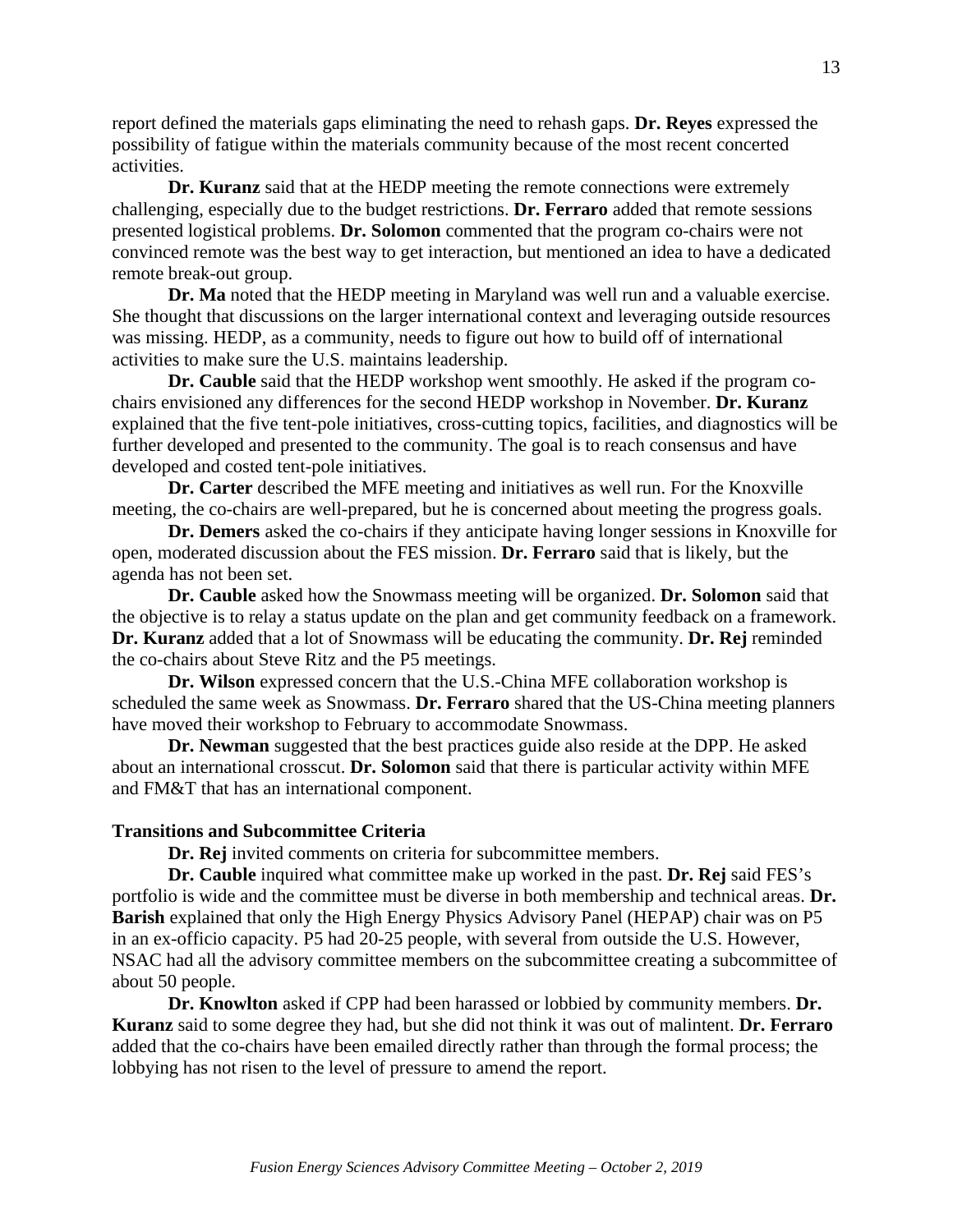report defined the materials gaps eliminating the need to rehash gaps. **Dr. Reyes** expressed the possibility of fatigue within the materials community because of the most recent concerted activities.

**Dr. Kuranz** said that at the HEDP meeting the remote connections were extremely challenging, especially due to the budget restrictions. **Dr. Ferraro** added that remote sessions presented logistical problems. **Dr. Solomon** commented that the program co-chairs were not convinced remote was the best way to get interaction, but mentioned an idea to have a dedicated remote break-out group.

**Dr. Ma** noted that the HEDP meeting in Maryland was well run and a valuable exercise. She thought that discussions on the larger international context and leveraging outside resources was missing. HEDP, as a community, needs to figure out how to build off of international activities to make sure the U.S. maintains leadership.

**Dr. Cauble** said that the HEDP workshop went smoothly. He asked if the program cochairs envisioned any differences for the second HEDP workshop in November. **Dr. Kuranz** explained that the five tent-pole initiatives, cross-cutting topics, facilities, and diagnostics will be further developed and presented to the community. The goal is to reach consensus and have developed and costed tent-pole initiatives.

**Dr. Carter** described the MFE meeting and initiatives as well run. For the Knoxville meeting, the co-chairs are well-prepared, but he is concerned about meeting the progress goals.

**Dr. Demers** asked the co-chairs if they anticipate having longer sessions in Knoxville for open, moderated discussion about the FES mission. **Dr. Ferraro** said that is likely, but the agenda has not been set.

**Dr. Cauble** asked how the Snowmass meeting will be organized. **Dr. Solomon** said that the objective is to relay a status update on the plan and get community feedback on a framework. **Dr. Kuranz** added that a lot of Snowmass will be educating the community. **Dr. Rej** reminded the co-chairs about Steve Ritz and the P5 meetings.

**Dr. Wilson** expressed concern that the U.S.-China MFE collaboration workshop is scheduled the same week as Snowmass. **Dr. Ferraro** shared that the US-China meeting planners have moved their workshop to February to accommodate Snowmass.

**Dr. Newman** suggested that the best practices guide also reside at the DPP. He asked about an international crosscut. **Dr. Solomon** said that there is particular activity within MFE and FM&T that has an international component.

## **Transitions and Subcommittee Criteria**

**Dr. Rej** invited comments on criteria for subcommittee members.

**Dr. Cauble** inquired what committee make up worked in the past. **Dr. Rej** said FES's portfolio is wide and the committee must be diverse in both membership and technical areas. **Dr. Barish** explained that only the High Energy Physics Advisory Panel (HEPAP) chair was on P5 in an ex-officio capacity. P5 had 20-25 people, with several from outside the U.S. However, NSAC had all the advisory committee members on the subcommittee creating a subcommittee of about 50 people.

**Dr. Knowlton** asked if CPP had been harassed or lobbied by community members. **Dr. Kuranz** said to some degree they had, but she did not think it was out of malintent. **Dr. Ferraro** added that the co-chairs have been emailed directly rather than through the formal process; the lobbying has not risen to the level of pressure to amend the report.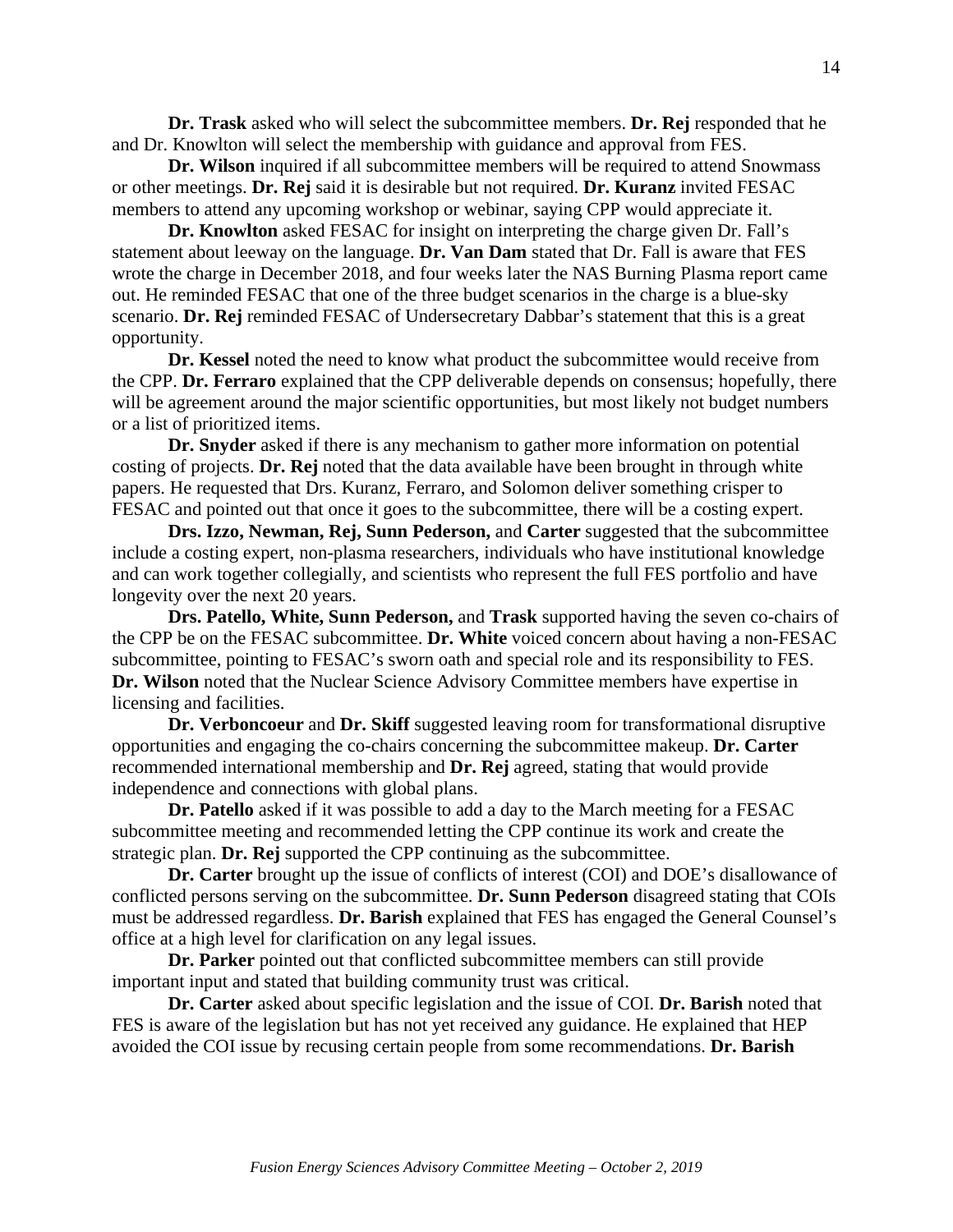**Dr. Trask** asked who will select the subcommittee members. **Dr. Rej** responded that he and Dr. Knowlton will select the membership with guidance and approval from FES.

**Dr. Wilson** inquired if all subcommittee members will be required to attend Snowmass or other meetings. **Dr. Rej** said it is desirable but not required. **Dr. Kuranz** invited FESAC members to attend any upcoming workshop or webinar, saying CPP would appreciate it.

**Dr. Knowlton** asked FESAC for insight on interpreting the charge given Dr. Fall's statement about leeway on the language. **Dr. Van Dam** stated that Dr. Fall is aware that FES wrote the charge in December 2018, and four weeks later the NAS Burning Plasma report came out. He reminded FESAC that one of the three budget scenarios in the charge is a blue-sky scenario. **Dr. Rej** reminded FESAC of Undersecretary Dabbar's statement that this is a great opportunity.

**Dr. Kessel** noted the need to know what product the subcommittee would receive from the CPP. **Dr. Ferraro** explained that the CPP deliverable depends on consensus; hopefully, there will be agreement around the major scientific opportunities, but most likely not budget numbers or a list of prioritized items.

**Dr. Snyder** asked if there is any mechanism to gather more information on potential costing of projects. **Dr. Rej** noted that the data available have been brought in through white papers. He requested that Drs. Kuranz, Ferraro, and Solomon deliver something crisper to FESAC and pointed out that once it goes to the subcommittee, there will be a costing expert.

**Drs. Izzo, Newman, Rej, Sunn Pederson,** and **Carter** suggested that the subcommittee include a costing expert, non-plasma researchers, individuals who have institutional knowledge and can work together collegially, and scientists who represent the full FES portfolio and have longevity over the next 20 years.

**Drs. Patello, White, Sunn Pederson,** and **Trask** supported having the seven co-chairs of the CPP be on the FESAC subcommittee. **Dr. White** voiced concern about having a non-FESAC subcommittee, pointing to FESAC's sworn oath and special role and its responsibility to FES. **Dr. Wilson** noted that the Nuclear Science Advisory Committee members have expertise in licensing and facilities.

**Dr. Verboncoeur** and **Dr. Skiff** suggested leaving room for transformational disruptive opportunities and engaging the co-chairs concerning the subcommittee makeup. **Dr. Carter** recommended international membership and **Dr. Rej** agreed, stating that would provide independence and connections with global plans.

**Dr. Patello** asked if it was possible to add a day to the March meeting for a FESAC subcommittee meeting and recommended letting the CPP continue its work and create the strategic plan. **Dr. Rej** supported the CPP continuing as the subcommittee.

**Dr. Carter** brought up the issue of conflicts of interest (COI) and DOE's disallowance of conflicted persons serving on the subcommittee. **Dr. Sunn Pederson** disagreed stating that COIs must be addressed regardless. **Dr. Barish** explained that FES has engaged the General Counsel's office at a high level for clarification on any legal issues.

**Dr. Parker** pointed out that conflicted subcommittee members can still provide important input and stated that building community trust was critical.

**Dr. Carter** asked about specific legislation and the issue of COI. **Dr. Barish** noted that FES is aware of the legislation but has not yet received any guidance. He explained that HEP avoided the COI issue by recusing certain people from some recommendations. **Dr. Barish**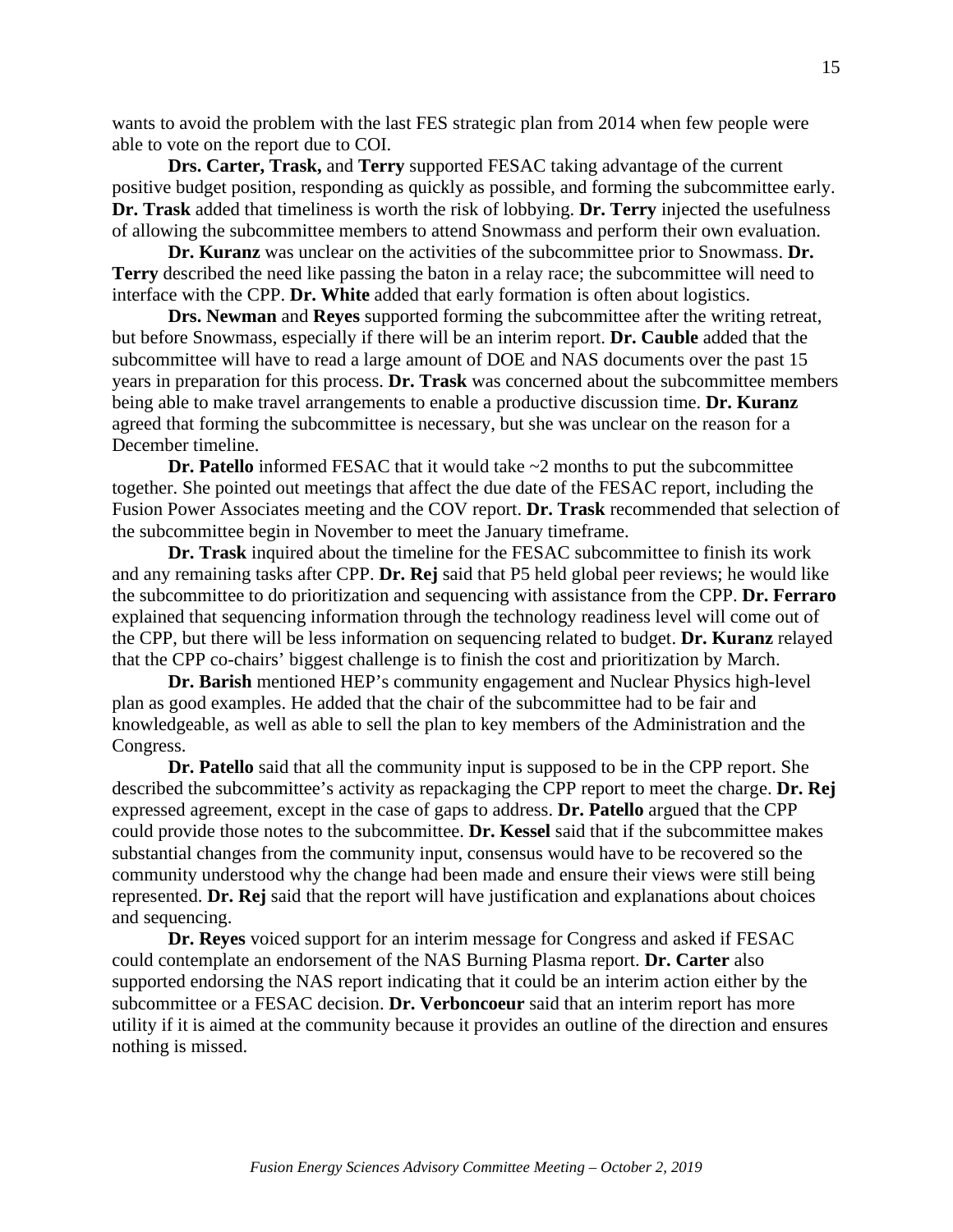wants to avoid the problem with the last FES strategic plan from 2014 when few people were able to vote on the report due to COI.

**Drs. Carter, Trask,** and **Terry** supported FESAC taking advantage of the current positive budget position, responding as quickly as possible, and forming the subcommittee early. **Dr. Trask** added that timeliness is worth the risk of lobbying. **Dr. Terry** injected the usefulness of allowing the subcommittee members to attend Snowmass and perform their own evaluation.

**Dr. Kuranz** was unclear on the activities of the subcommittee prior to Snowmass. **Dr. Terry** described the need like passing the baton in a relay race; the subcommittee will need to interface with the CPP. **Dr. White** added that early formation is often about logistics.

**Drs. Newman** and **Reyes** supported forming the subcommittee after the writing retreat, but before Snowmass, especially if there will be an interim report. **Dr. Cauble** added that the subcommittee will have to read a large amount of DOE and NAS documents over the past 15 years in preparation for this process. **Dr. Trask** was concerned about the subcommittee members being able to make travel arrangements to enable a productive discussion time. **Dr. Kuranz** agreed that forming the subcommittee is necessary, but she was unclear on the reason for a December timeline.

**Dr. Patello** informed FESAC that it would take  $\sim$ 2 months to put the subcommittee together. She pointed out meetings that affect the due date of the FESAC report, including the Fusion Power Associates meeting and the COV report. **Dr. Trask** recommended that selection of the subcommittee begin in November to meet the January timeframe.

**Dr. Trask** inquired about the timeline for the FESAC subcommittee to finish its work and any remaining tasks after CPP. **Dr. Rej** said that P5 held global peer reviews; he would like the subcommittee to do prioritization and sequencing with assistance from the CPP. **Dr. Ferraro** explained that sequencing information through the technology readiness level will come out of the CPP, but there will be less information on sequencing related to budget. **Dr. Kuranz** relayed that the CPP co-chairs' biggest challenge is to finish the cost and prioritization by March.

**Dr. Barish** mentioned HEP's community engagement and Nuclear Physics high-level plan as good examples. He added that the chair of the subcommittee had to be fair and knowledgeable, as well as able to sell the plan to key members of the Administration and the Congress.

**Dr. Patello** said that all the community input is supposed to be in the CPP report. She described the subcommittee's activity as repackaging the CPP report to meet the charge. **Dr. Rej** expressed agreement, except in the case of gaps to address. **Dr. Patello** argued that the CPP could provide those notes to the subcommittee. **Dr. Kessel** said that if the subcommittee makes substantial changes from the community input, consensus would have to be recovered so the community understood why the change had been made and ensure their views were still being represented. **Dr. Rej** said that the report will have justification and explanations about choices and sequencing.

**Dr. Reyes** voiced support for an interim message for Congress and asked if FESAC could contemplate an endorsement of the NAS Burning Plasma report. **Dr. Carter** also supported endorsing the NAS report indicating that it could be an interim action either by the subcommittee or a FESAC decision. **Dr. Verboncoeur** said that an interim report has more utility if it is aimed at the community because it provides an outline of the direction and ensures nothing is missed.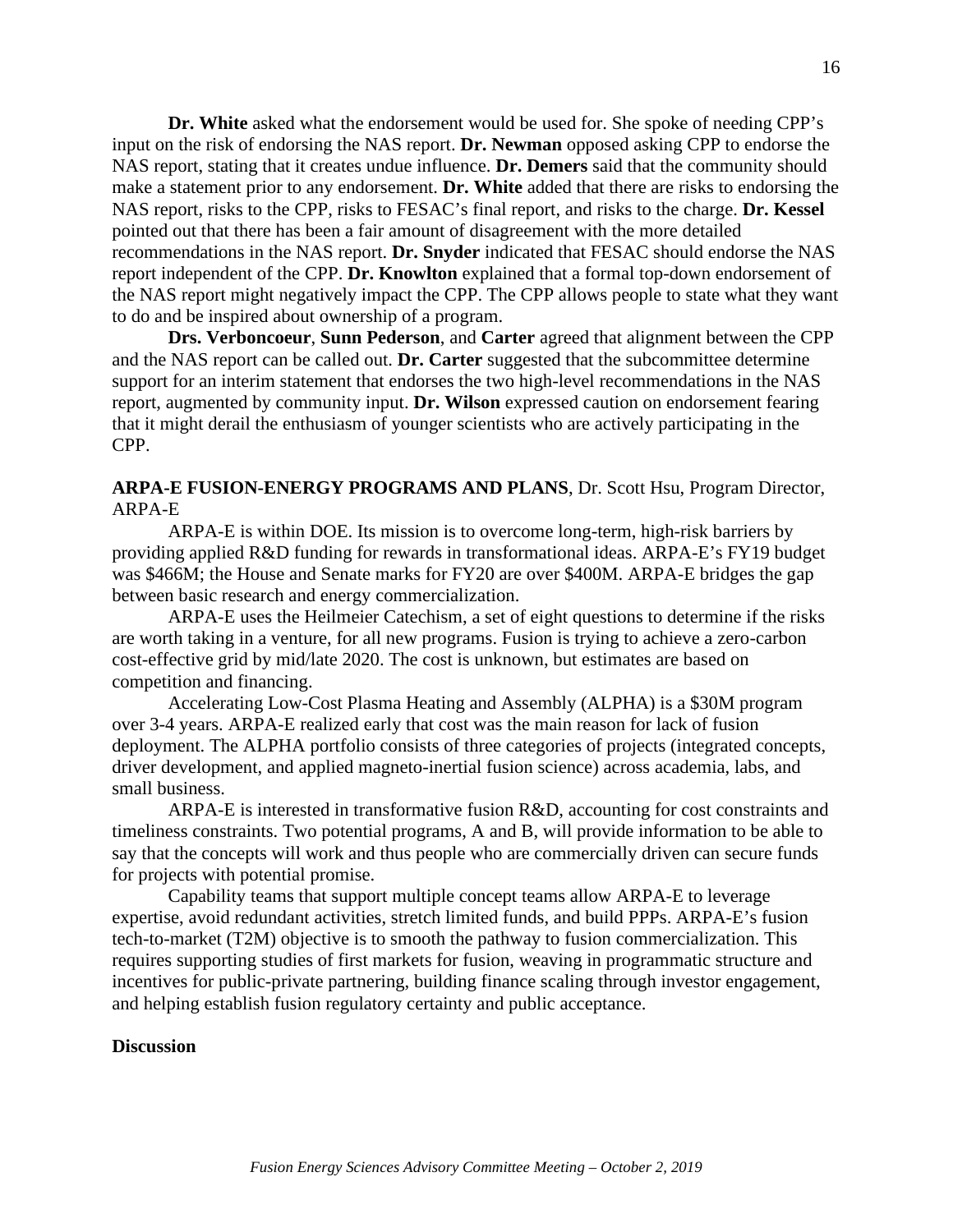**Dr. White** asked what the endorsement would be used for. She spoke of needing CPP's input on the risk of endorsing the NAS report. **Dr. Newman** opposed asking CPP to endorse the NAS report, stating that it creates undue influence. **Dr. Demers** said that the community should make a statement prior to any endorsement. **Dr. White** added that there are risks to endorsing the NAS report, risks to the CPP, risks to FESAC's final report, and risks to the charge. **Dr. Kessel** pointed out that there has been a fair amount of disagreement with the more detailed recommendations in the NAS report. **Dr. Snyder** indicated that FESAC should endorse the NAS report independent of the CPP. **Dr. Knowlton** explained that a formal top-down endorsement of the NAS report might negatively impact the CPP. The CPP allows people to state what they want to do and be inspired about ownership of a program.

**Drs. Verboncoeur**, **Sunn Pederson**, and **Carter** agreed that alignment between the CPP and the NAS report can be called out. **Dr. Carter** suggested that the subcommittee determine support for an interim statement that endorses the two high-level recommendations in the NAS report, augmented by community input. **Dr. Wilson** expressed caution on endorsement fearing that it might derail the enthusiasm of younger scientists who are actively participating in the CPP.

## **ARPA-E FUSION-ENERGY PROGRAMS AND PLANS**, Dr. Scott Hsu, Program Director, ARPA-E

ARPA-E is within DOE. Its mission is to overcome long-term, high-risk barriers by providing applied R&D funding for rewards in transformational ideas. ARPA-E's FY19 budget was \$466M; the House and Senate marks for FY20 are over \$400M. ARPA-E bridges the gap between basic research and energy commercialization.

ARPA-E uses the Heilmeier Catechism, a set of eight questions to determine if the risks are worth taking in a venture, for all new programs. Fusion is trying to achieve a zero-carbon cost-effective grid by mid/late 2020. The cost is unknown, but estimates are based on competition and financing.

Accelerating Low-Cost Plasma Heating and Assembly (ALPHA) is a \$30M program over 3-4 years. ARPA-E realized early that cost was the main reason for lack of fusion deployment. The ALPHA portfolio consists of three categories of projects (integrated concepts, driver development, and applied magneto-inertial fusion science) across academia, labs, and small business.

ARPA-E is interested in transformative fusion R&D, accounting for cost constraints and timeliness constraints. Two potential programs, A and B, will provide information to be able to say that the concepts will work and thus people who are commercially driven can secure funds for projects with potential promise.

Capability teams that support multiple concept teams allow ARPA-E to leverage expertise, avoid redundant activities, stretch limited funds, and build PPPs. ARPA-E's fusion tech-to-market (T2M) objective is to smooth the pathway to fusion commercialization. This requires supporting studies of first markets for fusion, weaving in programmatic structure and incentives for public-private partnering, building finance scaling through investor engagement, and helping establish fusion regulatory certainty and public acceptance.

#### **Discussion**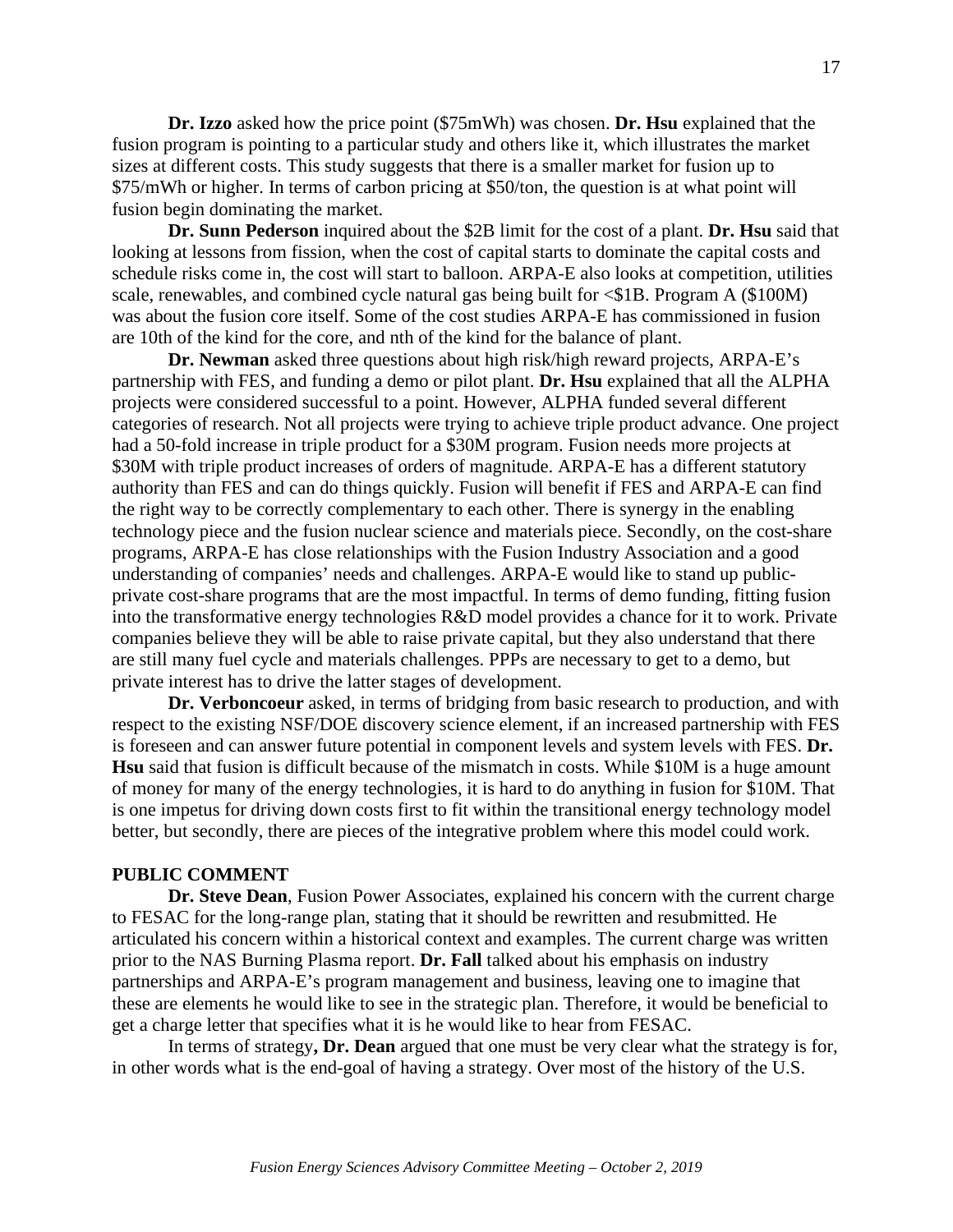**Dr. Izzo** asked how the price point (\$75mWh) was chosen. **Dr. Hsu** explained that the fusion program is pointing to a particular study and others like it, which illustrates the market sizes at different costs. This study suggests that there is a smaller market for fusion up to \$75/mWh or higher. In terms of carbon pricing at \$50/ton, the question is at what point will fusion begin dominating the market.

**Dr. Sunn Pederson** inquired about the \$2B limit for the cost of a plant. **Dr. Hsu** said that looking at lessons from fission, when the cost of capital starts to dominate the capital costs and schedule risks come in, the cost will start to balloon. ARPA-E also looks at competition, utilities scale, renewables, and combined cycle natural gas being built for  $\leq$  \$1B. Program A (\$100M) was about the fusion core itself. Some of the cost studies ARPA-E has commissioned in fusion are 10th of the kind for the core, and nth of the kind for the balance of plant.

**Dr. Newman** asked three questions about high risk/high reward projects, ARPA-E's partnership with FES, and funding a demo or pilot plant. **Dr. Hsu** explained that all the ALPHA projects were considered successful to a point. However, ALPHA funded several different categories of research. Not all projects were trying to achieve triple product advance. One project had a 50-fold increase in triple product for a \$30M program. Fusion needs more projects at \$30M with triple product increases of orders of magnitude. ARPA-E has a different statutory authority than FES and can do things quickly. Fusion will benefit if FES and ARPA-E can find the right way to be correctly complementary to each other. There is synergy in the enabling technology piece and the fusion nuclear science and materials piece. Secondly, on the cost-share programs, ARPA-E has close relationships with the Fusion Industry Association and a good understanding of companies' needs and challenges. ARPA-E would like to stand up publicprivate cost-share programs that are the most impactful. In terms of demo funding, fitting fusion into the transformative energy technologies R&D model provides a chance for it to work. Private companies believe they will be able to raise private capital, but they also understand that there are still many fuel cycle and materials challenges. PPPs are necessary to get to a demo, but private interest has to drive the latter stages of development.

**Dr. Verboncoeur** asked, in terms of bridging from basic research to production, and with respect to the existing NSF/DOE discovery science element, if an increased partnership with FES is foreseen and can answer future potential in component levels and system levels with FES. **Dr. Hsu** said that fusion is difficult because of the mismatch in costs. While \$10M is a huge amount of money for many of the energy technologies, it is hard to do anything in fusion for \$10M. That is one impetus for driving down costs first to fit within the transitional energy technology model better, but secondly, there are pieces of the integrative problem where this model could work.

#### **PUBLIC COMMENT**

**Dr. Steve Dean**, Fusion Power Associates, explained his concern with the current charge to FESAC for the long-range plan, stating that it should be rewritten and resubmitted. He articulated his concern within a historical context and examples. The current charge was written prior to the NAS Burning Plasma report. **Dr. Fall** talked about his emphasis on industry partnerships and ARPA-E's program management and business, leaving one to imagine that these are elements he would like to see in the strategic plan. Therefore, it would be beneficial to get a charge letter that specifies what it is he would like to hear from FESAC.

In terms of strategy**, Dr. Dean** argued that one must be very clear what the strategy is for, in other words what is the end-goal of having a strategy. Over most of the history of the U.S.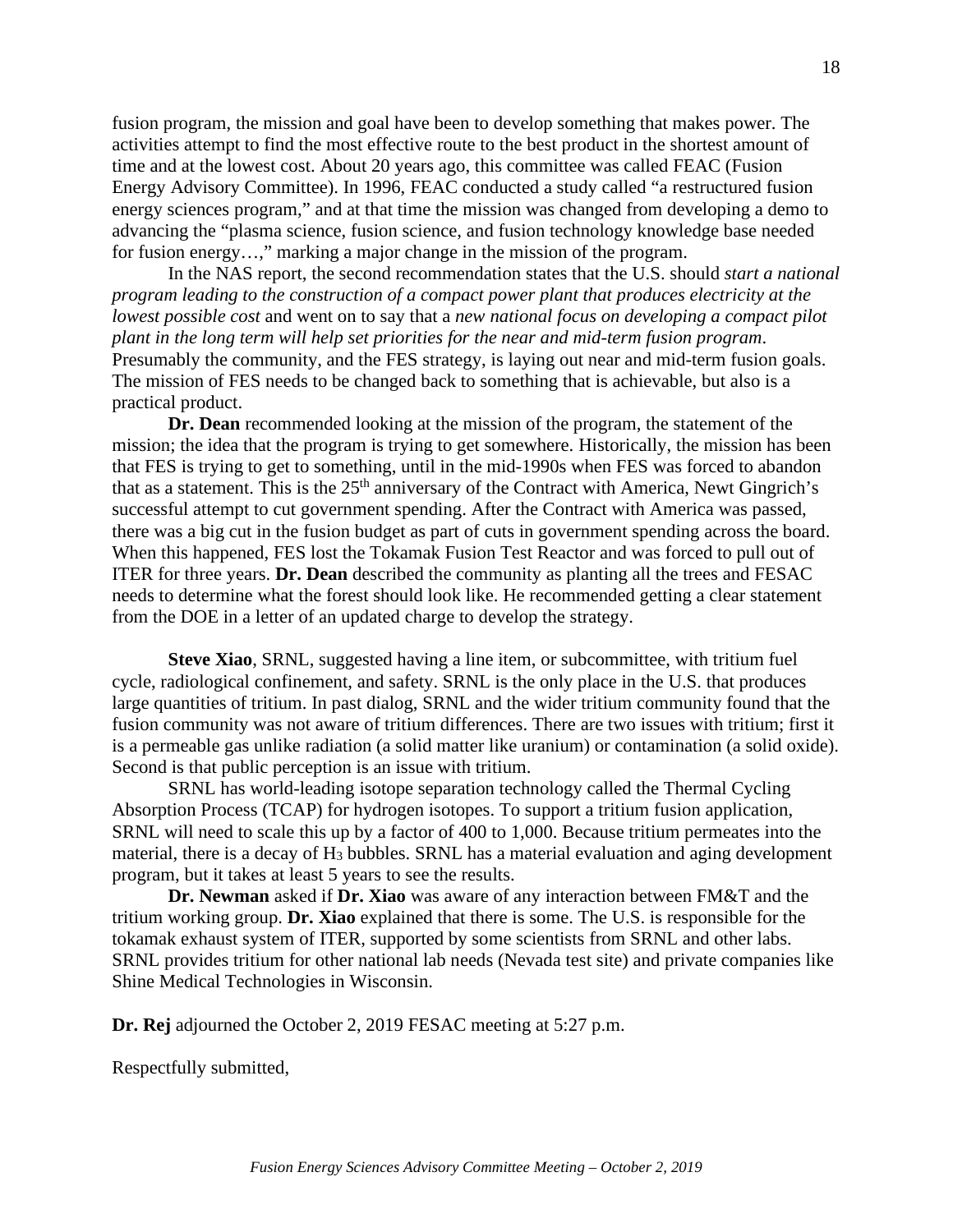fusion program, the mission and goal have been to develop something that makes power. The activities attempt to find the most effective route to the best product in the shortest amount of time and at the lowest cost. About 20 years ago, this committee was called FEAC (Fusion Energy Advisory Committee). In 1996, FEAC conducted a study called "a restructured fusion energy sciences program," and at that time the mission was changed from developing a demo to advancing the "plasma science, fusion science, and fusion technology knowledge base needed for fusion energy…," marking a major change in the mission of the program.

In the NAS report, the second recommendation states that the U.S. should *start a national program leading to the construction of a compact power plant that produces electricity at the lowest possible cost* and went on to say that a *new national focus on developing a compact pilot plant in the long term will help set priorities for the near and mid-term fusion program*. Presumably the community, and the FES strategy, is laying out near and mid-term fusion goals. The mission of FES needs to be changed back to something that is achievable, but also is a practical product.

**Dr. Dean** recommended looking at the mission of the program, the statement of the mission; the idea that the program is trying to get somewhere. Historically, the mission has been that FES is trying to get to something, until in the mid-1990s when FES was forced to abandon that as a statement. This is the  $25<sup>th</sup>$  anniversary of the Contract with America, Newt Gingrich's successful attempt to cut government spending. After the Contract with America was passed, there was a big cut in the fusion budget as part of cuts in government spending across the board. When this happened, FES lost the Tokamak Fusion Test Reactor and was forced to pull out of ITER for three years. **Dr. Dean** described the community as planting all the trees and FESAC needs to determine what the forest should look like. He recommended getting a clear statement from the DOE in a letter of an updated charge to develop the strategy.

**Steve Xiao**, SRNL, suggested having a line item, or subcommittee, with tritium fuel cycle, radiological confinement, and safety. SRNL is the only place in the U.S. that produces large quantities of tritium. In past dialog, SRNL and the wider tritium community found that the fusion community was not aware of tritium differences. There are two issues with tritium; first it is a permeable gas unlike radiation (a solid matter like uranium) or contamination (a solid oxide). Second is that public perception is an issue with tritium.

SRNL has world-leading isotope separation technology called the Thermal Cycling Absorption Process (TCAP) for hydrogen isotopes. To support a tritium fusion application, SRNL will need to scale this up by a factor of 400 to 1,000. Because tritium permeates into the material, there is a decay of H<sub>3</sub> bubbles. SRNL has a material evaluation and aging development program, but it takes at least 5 years to see the results.

**Dr. Newman** asked if **Dr. Xiao** was aware of any interaction between FM&T and the tritium working group. **Dr. Xiao** explained that there is some. The U.S. is responsible for the tokamak exhaust system of ITER, supported by some scientists from SRNL and other labs. SRNL provides tritium for other national lab needs (Nevada test site) and private companies like Shine Medical Technologies in Wisconsin.

**Dr. Rej** adjourned the October 2, 2019 FESAC meeting at 5:27 p.m.

Respectfully submitted,